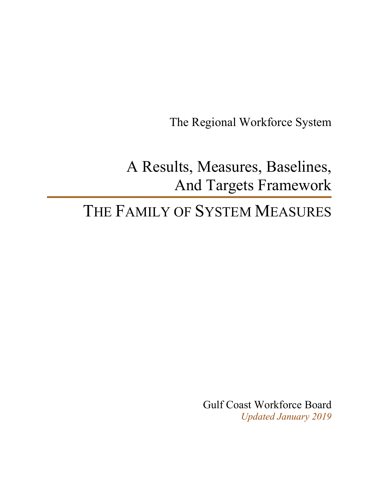The Regional Workforce System

A Results, Measures, Baselines, And Targets Framework

# THE FAMILY OF SYSTEM MEASURES

Gulf Coast Workforce Board *Updated January 2019*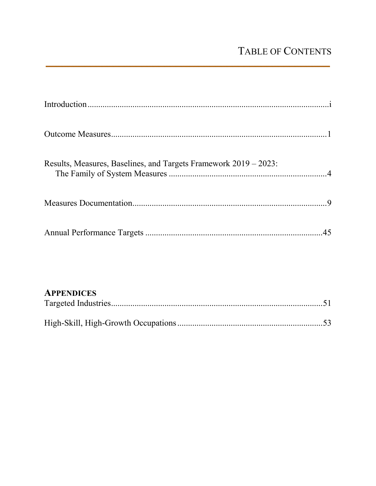# TABLE OF CONTENTS

### **APPENDICES**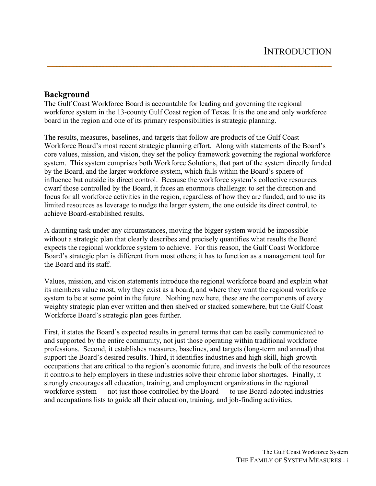#### **Background**

The Gulf Coast Workforce Board is accountable for leading and governing the regional workforce system in the 13-county Gulf Coast region of Texas. It is the one and only workforce board in the region and one of its primary responsibilities is strategic planning.

The results, measures, baselines, and targets that follow are products of the Gulf Coast Workforce Board's most recent strategic planning effort. Along with statements of the Board's core values, mission, and vision, they set the policy framework governing the regional workforce system. This system comprises both Workforce Solutions, that part of the system directly funded by the Board, and the larger workforce system, which falls within the Board's sphere of influence but outside its direct control. Because the workforce system's collective resources dwarf those controlled by the Board, it faces an enormous challenge: to set the direction and focus for all workforce activities in the region, regardless of how they are funded, and to use its limited resources as leverage to nudge the larger system, the one outside its direct control, to achieve Board-established results.

A daunting task under any circumstances, moving the bigger system would be impossible without a strategic plan that clearly describes and precisely quantifies what results the Board expects the regional workforce system to achieve. For this reason, the Gulf Coast Workforce Board's strategic plan is different from most others; it has to function as a management tool for the Board and its staff.

Values, mission, and vision statements introduce the regional workforce board and explain what its members value most, why they exist as a board, and where they want the regional workforce system to be at some point in the future. Nothing new here, these are the components of every weighty strategic plan ever written and then shelved or stacked somewhere, but the Gulf Coast Workforce Board's strategic plan goes further.

First, it states the Board's expected results in general terms that can be easily communicated to and supported by the entire community, not just those operating within traditional workforce professions. Second, it establishes measures, baselines, and targets (long-term and annual) that support the Board's desired results. Third, it identifies industries and high-skill, high-growth occupations that are critical to the region's economic future, and invests the bulk of the resources it controls to help employers in these industries solve their chronic labor shortages. Finally, it strongly encourages all education, training, and employment organizations in the regional workforce system — not just those controlled by the Board — to use Board-adopted industries and occupations lists to guide all their education, training, and job-finding activities.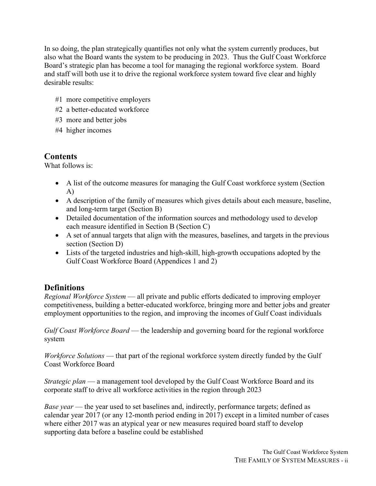In so doing, the plan strategically quantifies not only what the system currently produces, but also what the Board wants the system to be producing in 2023. Thus the Gulf Coast Workforce Board's strategic plan has become a tool for managing the regional workforce system. Board and staff will both use it to drive the regional workforce system toward five clear and highly desirable results:

- #1 more competitive employers
- #2 a better-educated workforce
- #3 more and better jobs
- #4 higher incomes

### **Contents**

What follows is:

- A list of the outcome measures for managing the Gulf Coast workforce system (Section A)
- A description of the family of measures which gives details about each measure, baseline, and long-term target (Section B)
- Detailed documentation of the information sources and methodology used to develop each measure identified in Section B (Section C)
- A set of annual targets that align with the measures, baselines, and targets in the previous section (Section D)
- Lists of the targeted industries and high-skill, high-growth occupations adopted by the Gulf Coast Workforce Board (Appendices 1 and 2)

### **Definitions**

*Regional Workforce System* — all private and public efforts dedicated to improving employer competitiveness, building a better-educated workforce, bringing more and better jobs and greater employment opportunities to the region, and improving the incomes of Gulf Coast individuals

*Gulf Coast Workforce Board* — the leadership and governing board for the regional workforce system

*Workforce Solutions* — that part of the regional workforce system directly funded by the Gulf Coast Workforce Board

*Strategic plan* — a management tool developed by the Gulf Coast Workforce Board and its corporate staff to drive all workforce activities in the region through 2023

*Base year* — the year used to set baselines and, indirectly, performance targets; defined as calendar year 2017 (or any 12-month period ending in 2017) except in a limited number of cases where either 2017 was an atypical year or new measures required board staff to develop supporting data before a baseline could be established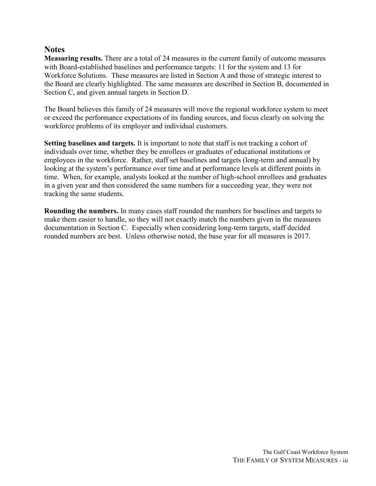#### **Notes**

**Measuring results.** There are a total of 24 measures in the current family of outcome measures with Board-established baselines and performance targets: 11 for the system and 13 for Workforce Solutions. These measures are listed in Section A and those of strategic interest to the Board are clearly highlighted. The same measures are described in Section B, documented in Section C, and given annual targets in Section D.

The Board believes this family of 24 measures will move the regional workforce system to meet or exceed the performance expectations of its funding sources, and focus clearly on solving the workforce problems of its employer and individual customers.

**Setting baselines and targets.** It is important to note that staff is not tracking a cohort of individuals over time, whether they be enrollees or graduates of educational institutions or employees in the workforce. Rather, staff set baselines and targets (long-term and annual) by looking at the system's performance over time and at performance levels at different points in time. When, for example, analysts looked at the number of high-school enrollees and graduates in a given year and then considered the same numbers for a succeeding year, they were not tracking the same students.

**Rounding the numbers.** In many cases staff rounded the numbers for baselines and targets to make them easier to handle, so they will not exactly match the numbers given in the measures documentation in Section C. Especially when considering long-term targets, staff decided rounded numbers are best. Unless otherwise noted, the base year for all measures is 2017.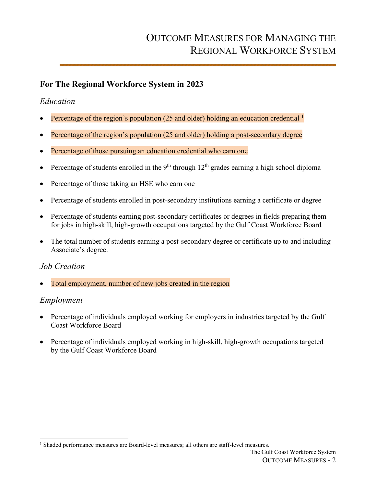### **For The Regional Workforce System in 2023**

#### *Education*

- Percentage of the region's population (25 and older) holding an education credential <sup>1</sup>
- Percentage of the region's population (25 and older) holding a post-secondary degree
- Percentage of those pursuing an education credential who earn one
- Percentage of students enrolled in the 9<sup>th</sup> through  $12<sup>th</sup>$  grades earning a high school diploma
- Percentage of those taking an HSE who earn one
- Percentage of students enrolled in post-secondary institutions earning a certificate or degree
- Percentage of students earning post-secondary certificates or degrees in fields preparing them for jobs in high-skill, high-growth occupations targeted by the Gulf Coast Workforce Board
- The total number of students earning a post-secondary degree or certificate up to and including Associate's degree.

#### *Job Creation*

Total employment, number of new jobs created in the region

#### *Employment*

- Percentage of individuals employed working for employers in industries targeted by the Gulf Coast Workforce Board
- Percentage of individuals employed working in high-skill, high-growth occupations targeted by the Gulf Coast Workforce Board

 $\overline{a}$ <sup>1</sup> Shaded performance measures are Board-level measures; all others are staff-level measures.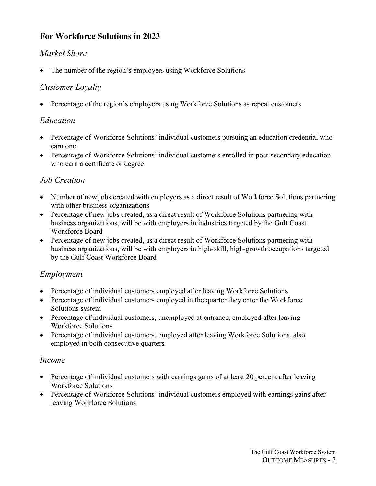### **For Workforce Solutions in 2023**

#### *Market Share*

• The number of the region's employers using Workforce Solutions

#### *Customer Loyalty*

• Percentage of the region's employers using Workforce Solutions as repeat customers

### *Education*

- Percentage of Workforce Solutions' individual customers pursuing an education credential who earn one
- Percentage of Workforce Solutions' individual customers enrolled in post-secondary education who earn a certificate or degree

### *Job Creation*

- Number of new jobs created with employers as a direct result of Workforce Solutions partnering with other business organizations
- Percentage of new jobs created, as a direct result of Workforce Solutions partnering with business organizations, will be with employers in industries targeted by the Gulf Coast Workforce Board
- Percentage of new jobs created, as a direct result of Workforce Solutions partnering with business organizations, will be with employers in high-skill, high-growth occupations targeted by the Gulf Coast Workforce Board

### *Employment*

- Percentage of individual customers employed after leaving Workforce Solutions
- Percentage of individual customers employed in the quarter they enter the Workforce Solutions system
- Percentage of individual customers, unemployed at entrance, employed after leaving Workforce Solutions
- Percentage of individual customers, employed after leaving Workforce Solutions, also employed in both consecutive quarters

#### *Income*

- Percentage of individual customers with earnings gains of at least 20 percent after leaving Workforce Solutions
- Percentage of Workforce Solutions' individual customers employed with earnings gains after leaving Workforce Solutions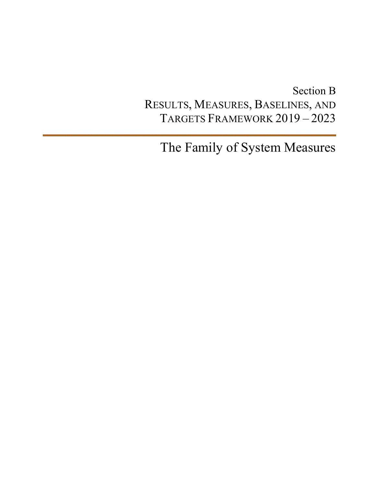# Section B RESULTS, MEASURES, BASELINES, AND TARGETS FRAMEWORK 2019 – 2023

The Family of System Measures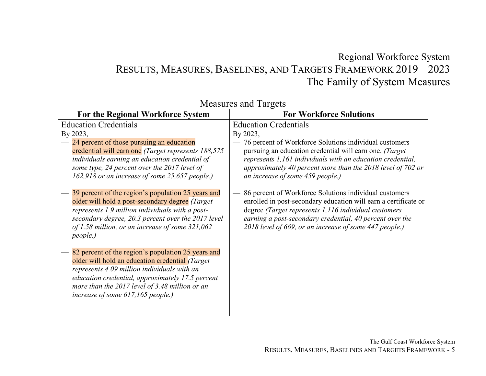### Regional Workforce System RESULTS, MEASURES, BASELINES, AND TARGETS FRAMEWORK 2019 – 2023 The Family of System Measures

| <b>For the Regional Workforce System</b>                                                                                                                                                                                                                                                        | <b>For Workforce Solutions</b>                                                                                                                                                                                                                                                                          |
|-------------------------------------------------------------------------------------------------------------------------------------------------------------------------------------------------------------------------------------------------------------------------------------------------|---------------------------------------------------------------------------------------------------------------------------------------------------------------------------------------------------------------------------------------------------------------------------------------------------------|
| <b>Education Credentials</b>                                                                                                                                                                                                                                                                    | <b>Education Credentials</b>                                                                                                                                                                                                                                                                            |
| By 2023,                                                                                                                                                                                                                                                                                        | By 2023,                                                                                                                                                                                                                                                                                                |
| 24 percent of those pursuing an education<br>credential will earn one (Target represents 188,575)<br>individuals earning an education credential of<br>some type, 24 percent over the 2017 level of<br>162,918 or an increase of some 25,657 people.)                                           | 76 percent of Workforce Solutions individual customers<br>pursuing an education credential will earn one. (Target<br>represents 1,161 individuals with an education credential,<br>approximately 40 percent more than the 2018 level of 702 or<br>an increase of some 459 people.)                      |
| 39 percent of the region's population 25 years and<br>older will hold a post-secondary degree (Target<br>represents 1.9 million individuals with a post-<br>secondary degree, 20.3 percent over the 2017 level<br>of 1.58 million, or an increase of some 321,062<br><i>people.)</i>            | 86 percent of Workforce Solutions individual customers<br>enrolled in post-secondary education will earn a certificate or<br>degree (Target represents 1,116 individual customers<br>earning a post-secondary credential, 40 percent over the<br>2018 level of 669, or an increase of some 447 people.) |
| 82 percent of the region's population 25 years and<br>older will hold an education credential (Target<br>represents 4.09 million individuals with an<br>education credential, approximately 17.5 percent<br>more than the 2017 level of 3.48 million or an<br>increase of some 617,165 people.) |                                                                                                                                                                                                                                                                                                         |

Measures and Targets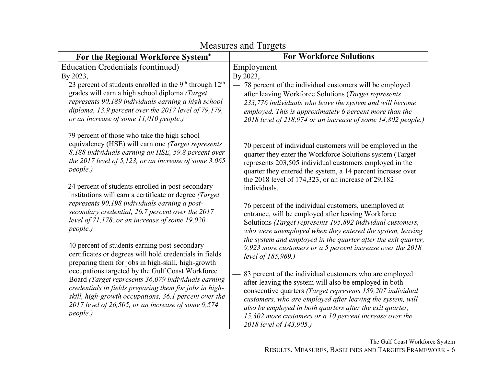| Measures and Targets                                                                                                                                                                                                                                                                                                                                  |                                                                                                                                                                                                                                                                                                                                                                                                  |  |  |
|-------------------------------------------------------------------------------------------------------------------------------------------------------------------------------------------------------------------------------------------------------------------------------------------------------------------------------------------------------|--------------------------------------------------------------------------------------------------------------------------------------------------------------------------------------------------------------------------------------------------------------------------------------------------------------------------------------------------------------------------------------------------|--|--|
| For the Regional Workforce System*                                                                                                                                                                                                                                                                                                                    | <b>For Workforce Solutions</b>                                                                                                                                                                                                                                                                                                                                                                   |  |  |
| <b>Education Credentials (continued)</b><br>By 2023,<br>$-23$ percent of students enrolled in the 9 <sup>th</sup> through 12 <sup>th</sup><br>grades will earn a high school diploma (Target<br>represents 90,189 individuals earning a high school<br>diploma, 13.9 percent over the 2017 level of 79,179,<br>or an increase of some 11,010 people.) | Employment<br>By 2023,<br>78 percent of the individual customers will be employed<br>after leaving Workforce Solutions (Target represents<br>233,776 individuals who leave the system and will become<br>employed. This is approximately 6 percent more than the<br>2018 level of 218,974 or an increase of some 14,802 people.)                                                                 |  |  |
| -79 percent of those who take the high school<br>equivalency (HSE) will earn one (Target represents<br>8,188 individuals earning an HSE, 59.8 percent over<br>the 2017 level of 5,123, or an increase of some $3,065$<br>people.)<br>-24 percent of students enrolled in post-secondary<br>institutions will earn a certificate or degree (Target)    | 70 percent of individual customers will be employed in the<br>quarter they enter the Workforce Solutions system (Target<br>represents 203,505 individual customers employed in the<br>quarter they entered the system, a 14 percent increase over<br>the 2018 level of 174,323, or an increase of 29,182<br>individuals.                                                                         |  |  |
| represents 90,198 individuals earning a post-<br>secondary credential, 26.7 percent over the 2017<br>level of $71,178$ , or an increase of some $19,020$<br>people.)                                                                                                                                                                                  | 76 percent of the individual customers, unemployed at<br>entrance, will be employed after leaving Workforce<br>Solutions (Target represents 195,892 individual customers,<br>who were unemployed when they entered the system, leaving<br>the system and employed in the quarter after the exit quarter,                                                                                         |  |  |
| -40 percent of students earning post-secondary<br>certificates or degrees will hold credentials in fields<br>preparing them for jobs in high-skill, high-growth                                                                                                                                                                                       | 9,923 more customers or a 5 percent increase over the $2018$<br>level of 185,969.)                                                                                                                                                                                                                                                                                                               |  |  |
| occupations targeted by the Gulf Coast Workforce<br>Board (Target represents 36,079 individuals earning<br>credentials in fields preparing them for jobs in high-<br>skill, high-growth occupations, 36.1 percent over the<br>$2017$ level of 26,505, or an increase of some 9,574<br>people.)                                                        | 83 percent of the individual customers who are employed<br>after leaving the system will also be employed in both<br>consecutive quarters (Target represents 159,207 individual<br>customers, who are employed after leaving the system, will<br>also be employed in both quarters after the exit quarter,<br>15,302 more customers or a 10 percent increase over the<br>2018 level of 143,905.) |  |  |

Measures and Targets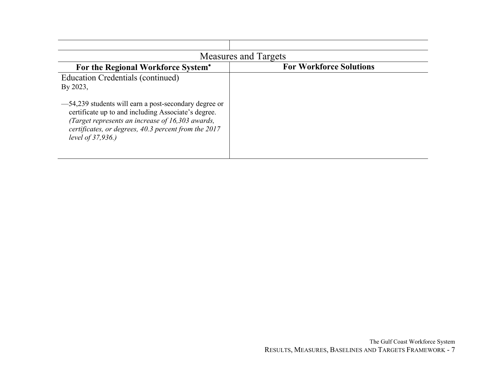| <b>Measures and Targets</b>                                                                                                                                                                                                                   |                                |  |  |  |
|-----------------------------------------------------------------------------------------------------------------------------------------------------------------------------------------------------------------------------------------------|--------------------------------|--|--|--|
| For the Regional Workforce System*                                                                                                                                                                                                            | <b>For Workforce Solutions</b> |  |  |  |
| Education Credentials (continued)<br>By 2023,                                                                                                                                                                                                 |                                |  |  |  |
| -54,239 students will earn a post-secondary degree or<br>certificate up to and including Associate's degree.<br>(Target represents an increase of 16,303 awards,<br>certificates, or degrees, 40.3 percent from the 2017<br>level of 37,936.) |                                |  |  |  |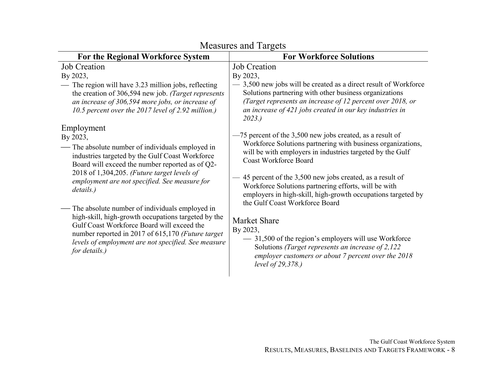| For the Regional Workforce System                                                                                                                                                                                                                                                                                                                                                                                                                                                                                                                                                                                                                                                                                | <b>For Workforce Solutions</b>                                                                                                                                                                                                                                                                                                                                                                                                                                                                                                                                                                                                                                                                                                                                          |
|------------------------------------------------------------------------------------------------------------------------------------------------------------------------------------------------------------------------------------------------------------------------------------------------------------------------------------------------------------------------------------------------------------------------------------------------------------------------------------------------------------------------------------------------------------------------------------------------------------------------------------------------------------------------------------------------------------------|-------------------------------------------------------------------------------------------------------------------------------------------------------------------------------------------------------------------------------------------------------------------------------------------------------------------------------------------------------------------------------------------------------------------------------------------------------------------------------------------------------------------------------------------------------------------------------------------------------------------------------------------------------------------------------------------------------------------------------------------------------------------------|
| <b>Job Creation</b><br>By 2023,<br>The region will have 3.23 million jobs, reflecting<br>the creation of 306,594 new job. (Target represents<br>an increase of 306,594 more jobs, or increase of<br>10.5 percent over the 2017 level of 2.92 million.)<br>Employment<br>By 2023,<br>— The absolute number of individuals employed in<br>industries targeted by the Gulf Coast Workforce<br>Board will exceed the number reported as of Q2-<br>2018 of 1,304,205. (Future target levels of<br>employment are not specified. See measure for<br>details.)<br>— The absolute number of individuals employed in<br>high-skill, high-growth occupations targeted by the<br>Gulf Coast Workforce Board will exceed the | <b>Job</b> Creation<br>By 2023,<br>- 3,500 new jobs will be created as a direct result of Workforce<br>Solutions partnering with other business organizations<br>(Target represents an increase of 12 percent over 2018, or<br>an increase of 421 jobs created in our key industries in<br>2023.<br>-75 percent of the 3,500 new jobs created, as a result of<br>Workforce Solutions partnering with business organizations,<br>will be with employers in industries targeted by the Gulf<br><b>Coast Workforce Board</b><br>-45 percent of the 3,500 new jobs created, as a result of<br>Workforce Solutions partnering efforts, will be with<br>employers in high-skill, high-growth occupations targeted by<br>the Gulf Coast Workforce Board<br><b>Market Share</b> |
| number reported in 2017 of 615,170 (Future target<br>levels of employment are not specified. See measure<br>for details.)                                                                                                                                                                                                                                                                                                                                                                                                                                                                                                                                                                                        | By 2023,<br>- 31,500 of the region's employers will use Workforce<br>Solutions (Target represents an increase of 2,122)<br>employer customers or about 7 percent over the 2018<br>level of 29,378.)                                                                                                                                                                                                                                                                                                                                                                                                                                                                                                                                                                     |
|                                                                                                                                                                                                                                                                                                                                                                                                                                                                                                                                                                                                                                                                                                                  |                                                                                                                                                                                                                                                                                                                                                                                                                                                                                                                                                                                                                                                                                                                                                                         |

### Measures and Targets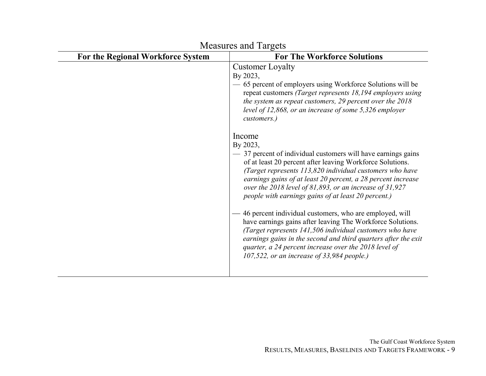| IVIUASULUS AIIU TALEUIS<br><b>For The Workforce Solutions</b>                                                                                                                                                                                                                                                                                                                                                                                                                                                                                                                                                                                                                                                                                                                                                                                                                                                                                                                                                                                                         |
|-----------------------------------------------------------------------------------------------------------------------------------------------------------------------------------------------------------------------------------------------------------------------------------------------------------------------------------------------------------------------------------------------------------------------------------------------------------------------------------------------------------------------------------------------------------------------------------------------------------------------------------------------------------------------------------------------------------------------------------------------------------------------------------------------------------------------------------------------------------------------------------------------------------------------------------------------------------------------------------------------------------------------------------------------------------------------|
| <b>Customer Loyalty</b><br>By 2023,<br>- 65 percent of employers using Workforce Solutions will be<br>repeat customers (Target represents 18,194 employers using<br>the system as repeat customers, 29 percent over the 2018<br>level of 12,868, or an increase of some 5,326 employer<br>customers.)<br>Income<br>By 2023,<br>- 37 percent of individual customers will have earnings gains<br>of at least 20 percent after leaving Workforce Solutions.<br>(Target represents 113,820 individual customers who have<br>earnings gains of at least 20 percent, a 28 percent increase<br>over the 2018 level of 81,893, or an increase of 31,927<br>people with earnings gains of at least 20 percent.)<br>46 percent individual customers, who are employed, will<br>have earnings gains after leaving The Workforce Solutions.<br>(Target represents 141,506 individual customers who have<br>earnings gains in the second and third quarters after the exit<br>quarter, a 24 percent increase over the 2018 level of<br>107,522, or an increase of 33,984 people.) |
|                                                                                                                                                                                                                                                                                                                                                                                                                                                                                                                                                                                                                                                                                                                                                                                                                                                                                                                                                                                                                                                                       |

Measures and Targets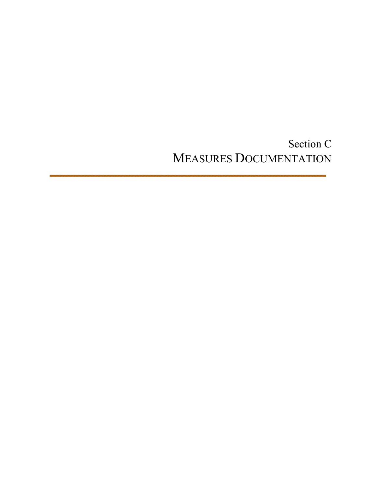Section C MEASURES DOCUMENTATION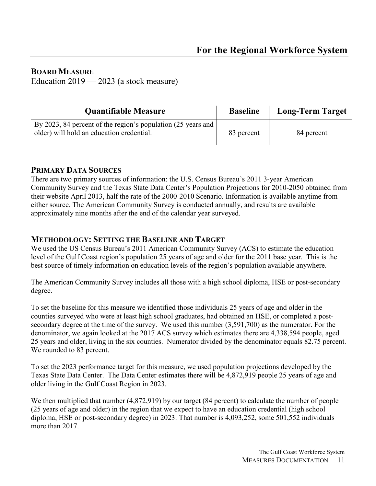#### **BOARD MEASURE**

Education 2019 — 2023 (a stock measure)

| <b>Quantifiable Measure</b>                                                                               | <b>Baseline</b> | <b>Long-Term Target</b> |
|-----------------------------------------------------------------------------------------------------------|-----------------|-------------------------|
| By 2023, 84 percent of the region's population (25 years and<br>older) will hold an education credential. | 83 percent      | 84 percent              |

#### **PRIMARY DATA SOURCES**

There are two primary sources of information: the U.S. Census Bureau's 2011 3-year American Community Survey and the Texas State Data Center's Population Projections for 2010-2050 obtained from their website April 2013, half the rate of the 2000-2010 Scenario. Information is available anytime from either source. The American Community Survey is conducted annually, and results are available approximately nine months after the end of the calendar year surveyed.

#### **METHODOLOGY: SETTING THE BASELINE AND TARGET**

We used the US Census Bureau's 2011 American Community Survey (ACS) to estimate the education level of the Gulf Coast region's population 25 years of age and older for the 2011 base year. This is the best source of timely information on education levels of the region's population available anywhere.

The American Community Survey includes all those with a high school diploma, HSE or post-secondary degree.

To set the baseline for this measure we identified those individuals 25 years of age and older in the counties surveyed who were at least high school graduates, had obtained an HSE, or completed a postsecondary degree at the time of the survey. We used this number (3,591,700) as the numerator. For the denominator, we again looked at the 2017 ACS survey which estimates there are 4,338,594 people, aged 25 years and older, living in the six counties. Numerator divided by the denominator equals 82.75 percent. We rounded to 83 percent.

To set the 2023 performance target for this measure, we used population projections developed by the Texas State Data Center. The Data Center estimates there will be 4,872,919 people 25 years of age and older living in the Gulf Coast Region in 2023.

We then multiplied that number  $(4,872,919)$  by our target  $(84$  percent) to calculate the number of people (25 years of age and older) in the region that we expect to have an education credential (high school diploma, HSE or post-secondary degree) in 2023. That number is 4,093,252, some 501,552 individuals more than 2017.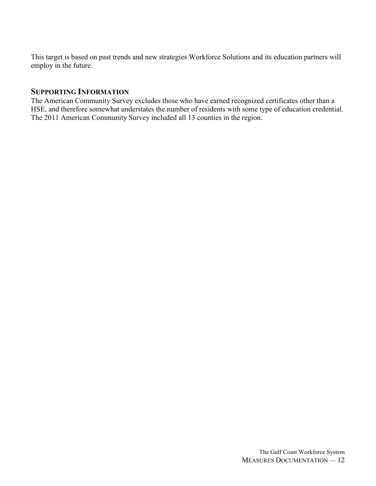This target is based on past trends and new strategies Workforce Solutions and its education partners will employ in the future.

#### **SUPPORTING INFORMATION**

The American Community Survey excludes those who have earned recognized certificates other than a HSE, and therefore somewhat understates the number of residents with some type of education credential. The 2011 American Community Survey included all 13 counties in the region.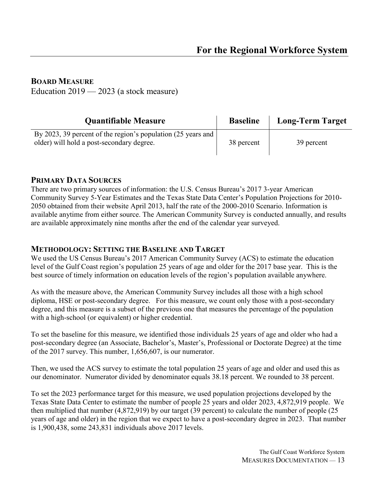#### **BOARD MEASURE**

Education 2019 — 2023 (a stock measure)

| <b>Quantifiable Measure</b>                                                                               | <b>Baseline</b> | <b>Long-Term Target</b> |
|-----------------------------------------------------------------------------------------------------------|-----------------|-------------------------|
| By 2023, 39 percent of the region's population (25 years and<br>older) will hold a post-secondary degree. | 38 percent      | 39 percent              |

#### **PRIMARY DATA SOURCES**

There are two primary sources of information: the U.S. Census Bureau's 2017 3-year American Community Survey 5-Year Estimates and the Texas State Data Center's Population Projections for 2010- 2050 obtained from their website April 2013, half the rate of the 2000-2010 Scenario. Information is available anytime from either source. The American Community Survey is conducted annually, and results are available approximately nine months after the end of the calendar year surveyed.

#### **METHODOLOGY: SETTING THE BASELINE AND TARGET**

We used the US Census Bureau's 2017 American Community Survey (ACS) to estimate the education level of the Gulf Coast region's population 25 years of age and older for the 2017 base year. This is the best source of timely information on education levels of the region's population available anywhere.

As with the measure above, the American Community Survey includes all those with a high school diploma, HSE or post-secondary degree. For this measure, we count only those with a post-secondary degree, and this measure is a subset of the previous one that measures the percentage of the population with a high-school (or equivalent) or higher credential.

To set the baseline for this measure, we identified those individuals 25 years of age and older who had a post-secondary degree (an Associate, Bachelor's, Master's, Professional or Doctorate Degree) at the time of the 2017 survey. This number, 1,656,607, is our numerator.

Then, we used the ACS survey to estimate the total population 25 years of age and older and used this as our denominator. Numerator divided by denominator equals 38.18 percent. We rounded to 38 percent.

To set the 2023 performance target for this measure, we used population projections developed by the Texas State Data Center to estimate the number of people 25 years and older 2023, 4,872,919 people. We then multiplied that number (4,872,919) by our target (39 percent) to calculate the number of people (25 years of age and older) in the region that we expect to have a post-secondary degree in 2023. That number is 1,900,438, some 243,831 individuals above 2017 levels.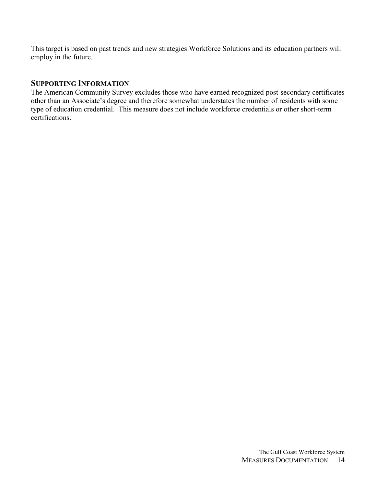This target is based on past trends and new strategies Workforce Solutions and its education partners will employ in the future.

#### **SUPPORTING INFORMATION**

The American Community Survey excludes those who have earned recognized post-secondary certificates other than an Associate's degree and therefore somewhat understates the number of residents with some type of education credential. This measure does not include workforce credentials or other short-term certifications.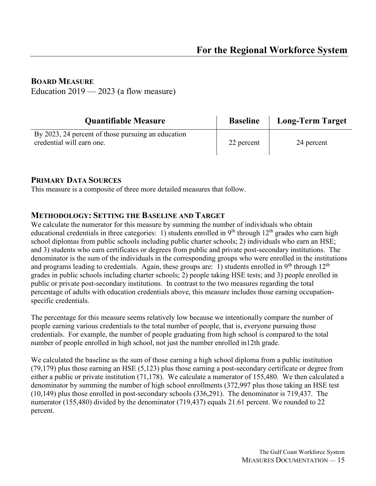#### **BOARD MEASURE**

Education  $2019 - 2023$  (a flow measure)

| <b>Quantifiable Measure</b>                                                     | <b>Baseline</b> | <b>Long-Term Target</b> |
|---------------------------------------------------------------------------------|-----------------|-------------------------|
| By 2023, 24 percent of those pursuing an education<br>credential will earn one. | 22 percent      | 24 percent              |

#### **PRIMARY DATA SOURCES**

This measure is a composite of three more detailed measures that follow.

#### **METHODOLOGY: SETTING THE BASELINE AND TARGET**

We calculate the numerator for this measure by summing the number of individuals who obtain educational credentials in three categories: 1) students enrolled in  $9<sup>th</sup>$  through  $12<sup>th</sup>$  grades who earn high school diplomas from public schools including public charter schools; 2) individuals who earn an HSE; and 3) students who earn certificates or degrees from public and private post-secondary institutions. The denominator is the sum of the individuals in the corresponding groups who were enrolled in the institutions and programs leading to credentials. Again, these groups are: 1) students enrolled in 9<sup>th</sup> through  $12<sup>th</sup>$ grades in public schools including charter schools; 2) people taking HSE tests; and 3) people enrolled in public or private post-secondary institutions. In contrast to the two measures regarding the total percentage of adults with education credentials above, this measure includes those earning occupationspecific credentials.

The percentage for this measure seems relatively low because we intentionally compare the number of people earning various credentials to the total number of people, that is, everyone pursuing those credentials. For example, the number of people graduating from high school is compared to the total number of people enrolled in high school, not just the number enrolled in12th grade.

We calculated the baseline as the sum of those earning a high school diploma from a public institution (79,179) plus those earning an HSE (5,123) plus those earning a post-secondary certificate or degree from either a public or private institution (71,178). We calculate a numerator of 155,480. We then calculated a denominator by summing the number of high school enrollments (372,997 plus those taking an HSE test (10,149) plus those enrolled in post-secondary schools (336,291). The denominator is 719,437. The numerator (155,480) divided by the denominator (719,437) equals 21.61 percent. We rounded to 22 percent.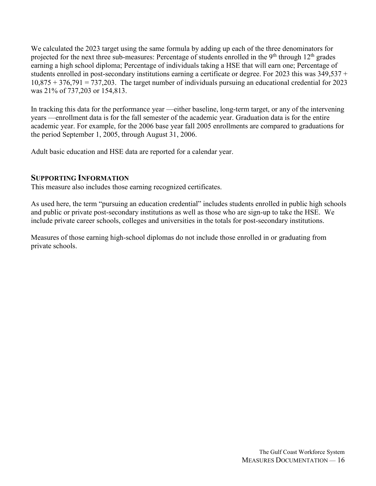We calculated the 2023 target using the same formula by adding up each of the three denominators for projected for the next three sub-measures: Percentage of students enrolled in the 9<sup>th</sup> through  $12<sup>th</sup>$  grades earning a high school diploma; Percentage of individuals taking a HSE that will earn one; Percentage of students enrolled in post-secondary institutions earning a certificate or degree. For 2023 this was 349,537 +  $10,875 + 376,791 = 737,203$ . The target number of individuals pursuing an educational credential for 2023 was 21% of 737,203 or 154,813.

In tracking this data for the performance year —either baseline, long-term target, or any of the intervening years —enrollment data is for the fall semester of the academic year. Graduation data is for the entire academic year. For example, for the 2006 base year fall 2005 enrollments are compared to graduations for the period September 1, 2005, through August 31, 2006.

Adult basic education and HSE data are reported for a calendar year.

#### **SUPPORTING INFORMATION**

This measure also includes those earning recognized certificates.

As used here, the term "pursuing an education credential" includes students enrolled in public high schools and public or private post-secondary institutions as well as those who are sign-up to take the HSE. We include private career schools, colleges and universities in the totals for post-secondary institutions.

Measures of those earning high-school diplomas do not include those enrolled in or graduating from private schools.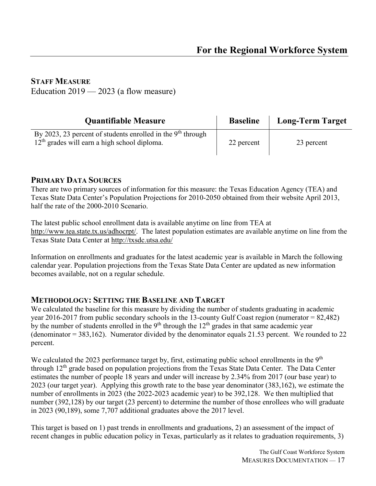#### **STAFF MEASURE**

Education  $2019 - 2023$  (a flow measure)

| <b>Quantifiable Measure</b>                                                                                     | <b>Baseline</b> | <b>Long-Term Target</b> |
|-----------------------------------------------------------------------------------------------------------------|-----------------|-------------------------|
| By 2023, 23 percent of students enrolled in the $9th$ through<br>$12th$ grades will earn a high school diploma. | 22 percent      | 23 percent              |

#### **PRIMARY DATA SOURCES**

There are two primary sources of information for this measure: the Texas Education Agency (TEA) and Texas State Data Center's Population Projections for 2010-2050 obtained from their website April 2013, half the rate of the 2000-2010 Scenario.

The latest public school enrollment data is available anytime on line from TEA at [http://www.tea.state.tx.us/adhocrpt/.](http://www.tea.state.tx.us/adhocrpt/) The latest population estimates are available anytime on line from the Texas State Data Center at<http://txsdc.utsa.edu/>

Information on enrollments and graduates for the latest academic year is available in March the following calendar year. Population projections from the Texas State Data Center are updated as new information becomes available, not on a regular schedule.

#### **METHODOLOGY: SETTING THE BASELINE AND TARGET**

We calculated the baseline for this measure by dividing the number of students graduating in academic year 2016-2017 from public secondary schools in the 13-county Gulf Coast region (numerator = 82,482) by the number of students enrolled in the  $9<sup>th</sup>$  through the  $12<sup>th</sup>$  grades in that same academic year (denominator = 383,162). Numerator divided by the denominator equals 21.53 percent. We rounded to 22 percent.

We calculated the 2023 performance target by, first, estimating public school enrollments in the 9<sup>th</sup> through 12<sup>th</sup> grade based on population projections from the Texas State Data Center. The Data Center estimates the number of people 18 years and under will increase by 2.34% from 2017 (our base year) to 2023 (our target year). Applying this growth rate to the base year denominator (383,162), we estimate the number of enrollments in 2023 (the 2022-2023 academic year) to be 392,128. We then multiplied that number (392,128) by our target (23 percent) to determine the number of those enrollees who will graduate in 2023 (90,189), some 7,707 additional graduates above the 2017 level.

This target is based on 1) past trends in enrollments and graduations, 2) an assessment of the impact of recent changes in public education policy in Texas, particularly as it relates to graduation requirements, 3)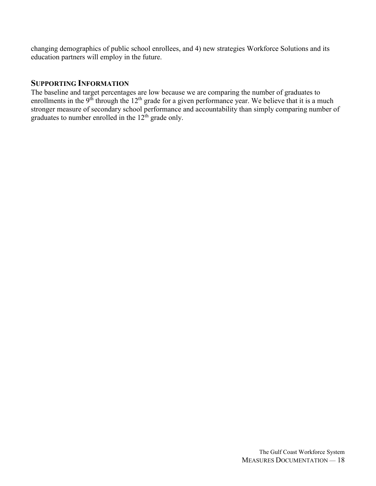changing demographics of public school enrollees, and 4) new strategies Workforce Solutions and its education partners will employ in the future.

#### **SUPPORTING INFORMATION**

The baseline and target percentages are low because we are comparing the number of graduates to enrollments in the 9<sup>th</sup> through the  $12<sup>th</sup>$  grade for a given performance year. We believe that it is a much stronger measure of secondary school performance and accountability than simply comparing number of graduates to number enrolled in the  $12<sup>th</sup>$  grade only.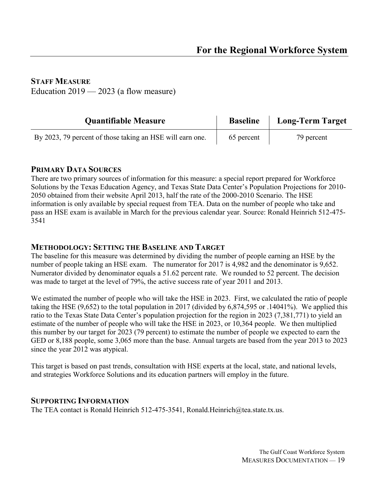#### **STAFF MEASURE**

Education  $2019 - 2023$  (a flow measure)

| <b>Quantifiable Measure</b>                               | <b>Baseline</b> | Long-Term Target |
|-----------------------------------------------------------|-----------------|------------------|
| By 2023, 79 percent of those taking an HSE will earn one. | 65 percent      | 79 percent       |

#### **PRIMARY DATA SOURCES**

There are two primary sources of information for this measure: a special report prepared for Workforce Solutions by the Texas Education Agency, and Texas State Data Center's Population Projections for 2010- 2050 obtained from their website April 2013, half the rate of the 2000-2010 Scenario. The HSE information is only available by special request from TEA. Data on the number of people who take and pass an HSE exam is available in March for the previous calendar year. Source: Ronald Heinrich 512-475- 3541

#### **METHODOLOGY: SETTING THE BASELINE AND TARGET**

The baseline for this measure was determined by dividing the number of people earning an HSE by the number of people taking an HSE exam. The numerator for 2017 is 4,982 and the denominator is 9,652. Numerator divided by denominator equals a 51.62 percent rate. We rounded to 52 percent. The decision was made to target at the level of 79%, the active success rate of year 2011 and 2013.

We estimated the number of people who will take the HSE in 2023. First, we calculated the ratio of people taking the HSE (9,652) to the total population in 2017 (divided by 6,874,595 or .14041%). We applied this ratio to the Texas State Data Center's population projection for the region in 2023 (7,381,771) to yield an estimate of the number of people who will take the HSE in 2023, or 10,364 people. We then multiplied this number by our target for 2023 (79 percent) to estimate the number of people we expected to earn the GED or 8,188 people, some 3,065 more than the base. Annual targets are based from the year 2013 to 2023 since the year 2012 was atypical.

This target is based on past trends, consultation with HSE experts at the local, state, and national levels, and strategies Workforce Solutions and its education partners will employ in the future.

#### **SUPPORTING INFORMATION**

The TEA contact is Ronald Heinrich 512-475-3541, Ronald.Heinrich@tea.state.tx.us.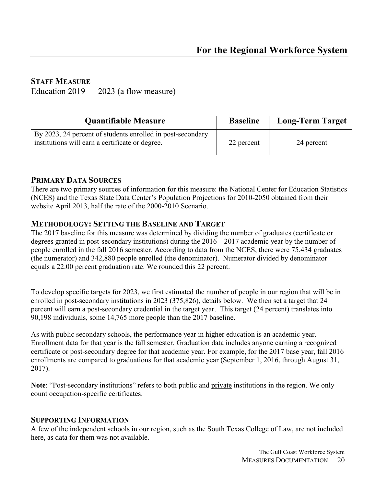#### **STAFF MEASURE**

Education  $2019 - 2023$  (a flow measure)

| <b>Quantifiable Measure</b>                                                                                   | <b>Baseline</b> | <b>Long-Term Target</b> |
|---------------------------------------------------------------------------------------------------------------|-----------------|-------------------------|
| By 2023, 24 percent of students enrolled in post-secondary<br>institutions will earn a certificate or degree. | 22 percent      | 24 percent              |

#### **PRIMARY DATA SOURCES**

There are two primary sources of information for this measure: the National Center for Education Statistics (NCES) and the Texas State Data Center's Population Projections for 2010-2050 obtained from their website April 2013, half the rate of the 2000-2010 Scenario.

#### **METHODOLOGY: SETTING THE BASELINE AND TARGET**

The 2017 baseline for this measure was determined by dividing the number of graduates (certificate or degrees granted in post-secondary institutions) during the 2016 – 2017 academic year by the number of people enrolled in the fall 2016 semester. According to data from the NCES, there were 75,434 graduates (the numerator) and 342,880 people enrolled (the denominator). Numerator divided by denominator equals a 22.00 percent graduation rate. We rounded this 22 percent.

To develop specific targets for 2023, we first estimated the number of people in our region that will be in enrolled in post-secondary institutions in 2023 (375,826), details below. We then set a target that 24 percent will earn a post-secondary credential in the target year. This target (24 percent) translates into 90,198 individuals, some 14,765 more people than the 2017 baseline.

As with public secondary schools, the performance year in higher education is an academic year. Enrollment data for that year is the fall semester. Graduation data includes anyone earning a recognized certificate or post-secondary degree for that academic year. For example, for the 2017 base year, fall 2016 enrollments are compared to graduations for that academic year (September 1, 2016, through August 31, 2017).

**Note**: "Post-secondary institutions" refers to both public and private institutions in the region. We only count occupation-specific certificates.

#### **SUPPORTING INFORMATION**

A few of the independent schools in our region, such as the South Texas College of Law, are not included here, as data for them was not available.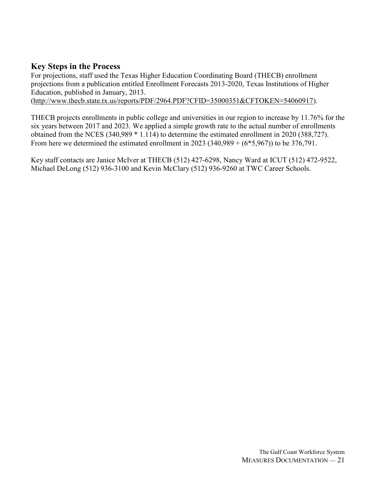#### **Key Steps in the Process**

For projections, staff used the Texas Higher Education Coordinating Board (THECB) enrollment projections from a publication entitled Enrollment Forecasts 2013-2020, Texas Institutions of Higher Education, published in January, 2013.

[\(http://www.thecb.state.tx.us/reports/PDF/2964.PDF?CFID=35000351&CFTOKEN=54060917\)](http://www.thecb.state.tx.us/reports/PDF/2964.PDF?CFID=35000351&CFTOKEN=54060917).

THECB projects enrollments in public college and universities in our region to increase by 11.76% for the six years between 2017 and 2023. We applied a simple growth rate to the actual number of enrollments obtained from the NCES (340,989 \* 1.114) to determine the estimated enrollment in 2020 (388,727). From here we determined the estimated enrollment in  $2023 (340,989 + (6*5,967))$  to be  $376,791$ .

Key staff contacts are Janice McIver at THECB (512) 427-6298, Nancy Ward at ICUT (512) 472-9522, Michael DeLong (512) 936-3100 and Kevin McClary (512) 936-9260 at TWC Career Schools.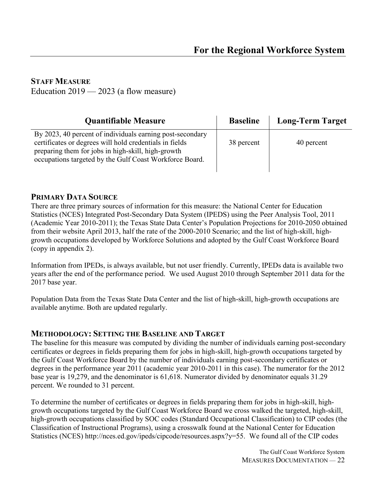#### **STAFF MEASURE**

Education  $2019 - 2023$  (a flow measure)

| <b>Quantifiable Measure</b>                                                                                                                                                                                                           | <b>Baseline</b> | <b>Long-Term Target</b> |
|---------------------------------------------------------------------------------------------------------------------------------------------------------------------------------------------------------------------------------------|-----------------|-------------------------|
| By 2023, 40 percent of individuals earning post-secondary<br>certificates or degrees will hold credentials in fields<br>preparing them for jobs in high-skill, high-growth<br>occupations targeted by the Gulf Coast Workforce Board. | 38 percent      | 40 percent              |

#### **PRIMARY DATA SOURCE**

There are three primary sources of information for this measure: the National Center for Education Statistics (NCES) Integrated Post-Secondary Data System (IPEDS) using the Peer Analysis Tool, 2011 (Academic Year 2010-2011); the Texas State Data Center's Population Projections for 2010-2050 obtained from their website April 2013, half the rate of the 2000-2010 Scenario; and the list of high-skill, highgrowth occupations developed by Workforce Solutions and adopted by the Gulf Coast Workforce Board (copy in appendix 2).

Information from IPEDs, is always available, but not user friendly. Currently, IPEDs data is available two years after the end of the performance period. We used August 2010 through September 2011 data for the 2017 base year.

Population Data from the Texas State Data Center and the list of high-skill, high-growth occupations are available anytime. Both are updated regularly.

#### **METHODOLOGY: SETTING THE BASELINE AND TARGET**

The baseline for this measure was computed by dividing the number of individuals earning post-secondary certificates or degrees in fields preparing them for jobs in high-skill, high-growth occupations targeted by the Gulf Coast Workforce Board by the number of individuals earning post-secondary certificates or degrees in the performance year 2011 (academic year 2010-2011 in this case). The numerator for the 2012 base year is 19,279, and the denominator is 61,618. Numerator divided by denominator equals 31.29 percent. We rounded to 31 percent.

To determine the number of certificates or degrees in fields preparing them for jobs in high-skill, highgrowth occupations targeted by the Gulf Coast Workforce Board we cross walked the targeted, high-skill, high-growth occupations classified by SOC codes (Standard Occupational Classification) to CIP codes (the Classification of Instructional Programs), using a crosswalk found at the National Center for Education Statistics (NCES) http://nces.ed.gov/ipeds/cipcode/resources.aspx?y=55. We found all of the CIP codes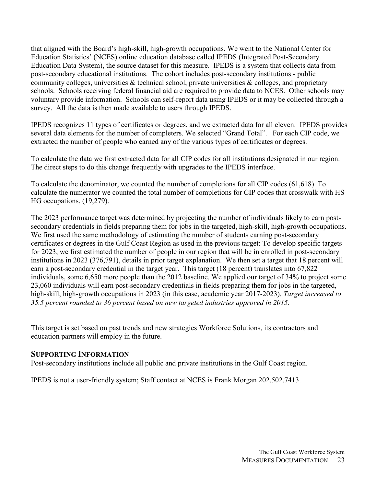that aligned with the Board's high-skill, high-growth occupations. We went to the National Center for Education Statistics' (NCES) online education database called IPEDS (Integrated Post-Secondary Education Data System), the source dataset for this measure. IPEDS is a system that collects data from post-secondary educational institutions. The cohort includes post-secondary institutions - public community colleges, universities  $\&$  technical school, private universities  $\&$  colleges, and proprietary schools. Schools receiving federal financial aid are required to provide data to NCES. Other schools may voluntary provide information. Schools can self-report data using IPEDS or it may be collected through a survey. All the data is then made available to users through IPEDS.

IPEDS recognizes 11 types of certificates or degrees, and we extracted data for all eleven. IPEDS provides several data elements for the number of completers. We selected "Grand Total". For each CIP code, we extracted the number of people who earned any of the various types of certificates or degrees.

To calculate the data we first extracted data for all CIP codes for all institutions designated in our region. The direct steps to do this change frequently with upgrades to the IPEDS interface.

To calculate the denominator, we counted the number of completions for all CIP codes (61,618). To calculate the numerator we counted the total number of completions for CIP codes that crosswalk with HS HG occupations, (19,279).

The 2023 performance target was determined by projecting the number of individuals likely to earn postsecondary credentials in fields preparing them for jobs in the targeted, high-skill, high-growth occupations. We first used the same methodology of estimating the number of students earning post-secondary certificates or degrees in the Gulf Coast Region as used in the previous target: To develop specific targets for 2023, we first estimated the number of people in our region that will be in enrolled in post-secondary institutions in 2023 (376,791), details in prior target explanation. We then set a target that 18 percent will earn a post-secondary credential in the target year. This target (18 percent) translates into 67,822 individuals, some 6,650 more people than the 2012 baseline. We applied our target of 34% to project some 23,060 individuals will earn post-secondary credentials in fields preparing them for jobs in the targeted, high-skill, high-growth occupations in 2023 (in this case, academic year 2017-2023). *Target increased to 35.5 percent rounded to 36 percent based on new targeted industries approved in 2015.*

This target is set based on past trends and new strategies Workforce Solutions, its contractors and education partners will employ in the future.

#### **SUPPORTING INFORMATION**

Post-secondary institutions include all public and private institutions in the Gulf Coast region.

IPEDS is not a user-friendly system; Staff contact at NCES is Frank Morgan 202.502.7413.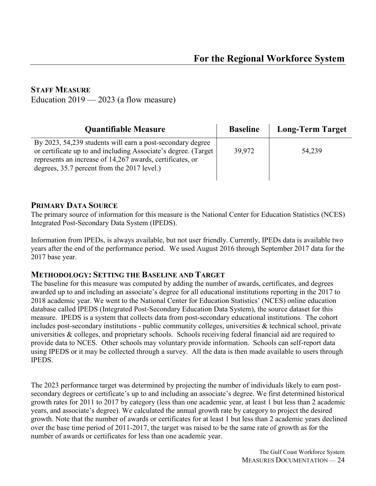#### **STAFF MEASURE**

Education  $2019 - 2023$  (a flow measure)

| <b>Quantifiable Measure</b>                                                                                                                                                                                                                | <b>Baseline</b> | <b>Long-Term Target</b> |
|--------------------------------------------------------------------------------------------------------------------------------------------------------------------------------------------------------------------------------------------|-----------------|-------------------------|
| By 2023, 54, 239 students will earn a post-secondary degree<br>or certificate up to and including Associate's degree. (Target)<br>represents an increase of 14,267 awards, certificates, or<br>degrees, 35.7 percent from the 2017 level.) | 39,972          | 54,239                  |

#### **PRIMARY DATA SOURCE**

The primary source of information for this measure is the National Center for Education Statistics (NCES) Integrated Post-Secondary Data System (IPEDS).

Information from IPEDs, is always available, but not user friendly. Currently, IPEDs data is available two years after the end of the performance period. We used August 2016 through September 2017 data for the 2017 base year.

#### **METHODOLOGY: SETTING THE BASELINE AND TARGET**

The baseline for this measure was computed by adding the number of awards, certificates, and degrees awarded up to and including an associate's degree for all educational institutions reporting in the 2017 to 2018 academic year. We went to the National Center for Education Statistics' (NCES) online education database called IPEDS (Integrated Post-Secondary Education Data System), the source dataset for this measure. IPEDS is a system that collects data from post-secondary educational institutions. The cohort includes post-secondary institutions - public community colleges, universities & technical school, private universities & colleges, and proprietary schools. Schools receiving federal financial aid are required to provide data to NCES. Other schools may voluntary provide information. Schools can self-report data using IPEDS or it may be collected through a survey. All the data is then made available to users through **IPEDS** 

The 2023 performance target was determined by projecting the number of individuals likely to earn postsecondary degrees or certificate's up to and including an associate's degree. We first determined historical growth rates for 2011 to 2017 by category (less than one academic year, at least 1 but less than 2 academic years, and associate's degree). We calculated the annual growth rate by category to project the desired growth. Note that the number of awards or certificates for at least 1 but less than 2 academic years declined over the base time period of 2011-2017, the target was raised to be the same rate of growth as for the number of awards or certificates for less than one academic year.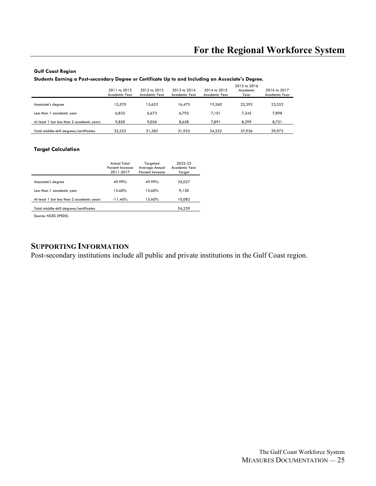## **For the Regional Workforce System**

#### **Gulf Coast Region**

**Students Earning a Post-secondary Degree or Certificate Up to and Including an Associate's Degree.**

|                                           | 2011 to 2012<br>Academic Year | 2012 to 2013<br>Academic Year | 2013 to 2014<br>Academic Year | 2014 to 2015<br>Academic Year | 2015 to 2016<br>Academic<br>Year | 2016 to 2017<br>Academic Year |
|-------------------------------------------|-------------------------------|-------------------------------|-------------------------------|-------------------------------|----------------------------------|-------------------------------|
| Associate's degree                        | 15.570                        | 15.653                        | 16.475                        | 19.260                        | 22.392                           | 23,353                        |
| Less than 1 academic year                 | 6,832                         | 6,673                         | 6.792                         | 7.101                         | 7.245                            | 7,898                         |
| At least 1 but less than 2 academic years | 9.850                         | 9.056                         | 8.658                         | 7,891                         | 8.299                            | 8,721                         |
| Total middle-skill degrees/certificates   | 32.252                        | 31,382                        | 31.925                        | 34.252                        | 37,936                           | 39,972                        |

#### **Target Calculation**

|                                           | Actual Total<br>Percent Increase<br>2011-2017 | Targeted<br>Average Annual<br>Percent Increase | 2022-23<br>Academic Year<br>Target |
|-------------------------------------------|-----------------------------------------------|------------------------------------------------|------------------------------------|
| Associate's degree                        | 49.99%                                        | 49.99%                                         | 35,027                             |
| Less than 1 academic year                 | 15.60%                                        | 15.60%                                         | 9.130                              |
| At least 1 but less than 2 academic years | $-11.46%$                                     | 15.60%                                         | 10,082                             |
| Total middle-skill degrees/certificates   |                                               |                                                | 54,239                             |

Source: NCES (IPEDS)

#### **SUPPORTING INFORMATION**

Post-secondary institutions include all public and private institutions in the Gulf Coast region.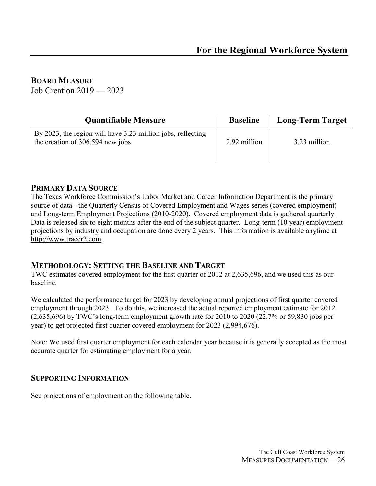**BOARD MEASURE**

Job Creation 2019 — 2023

| <b>Quantifiable Measure</b>                                                                     | <b>Baseline</b> | <b>Long-Term Target</b> |
|-------------------------------------------------------------------------------------------------|-----------------|-------------------------|
| By 2023, the region will have 3.23 million jobs, reflecting<br>the creation of 306,594 new jobs | 2.92 million    | 3.23 million            |

#### **PRIMARY DATA SOURCE**

The Texas Workforce Commission's Labor Market and Career Information Department is the primary source of data - the Quarterly Census of Covered Employment and Wages series (covered employment) and Long-term Employment Projections (2010-2020). Covered employment data is gathered quarterly. Data is released six to eight months after the end of the subject quarter. Long-term (10 year) employment projections by industry and occupation are done every 2 years. This information is available anytime at [http://www.tracer2.com.](http://www.tracer2.com/)

#### **METHODOLOGY: SETTING THE BASELINE AND TARGET**

TWC estimates covered employment for the first quarter of 2012 at 2,635,696, and we used this as our baseline.

We calculated the performance target for 2023 by developing annual projections of first quarter covered employment through 2023. To do this, we increased the actual reported employment estimate for 2012 (2,635,696) by TWC's long-term employment growth rate for 2010 to 2020 (22.7% or 59,830 jobs per year) to get projected first quarter covered employment for 2023 (2,994,676).

Note: We used first quarter employment for each calendar year because it is generally accepted as the most accurate quarter for estimating employment for a year.

#### **SUPPORTING INFORMATION**

See projections of employment on the following table.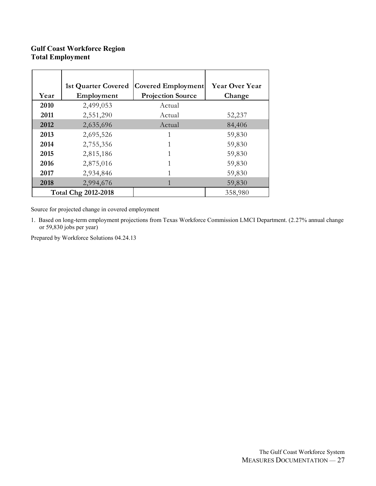#### **Gulf Coast Workforce Region Total Employment**

|      | <b>1st Quarter Covered</b> | Covered Employment       | <b>Year Over Year</b> |
|------|----------------------------|--------------------------|-----------------------|
| Year | Employment                 | <b>Projection Source</b> | Change                |
| 2010 | 2,499,053                  | Actual                   |                       |
| 2011 | 2,551,290                  | Actual                   | 52,237                |
| 2012 | 2,635,696                  | Actual                   | 84,406                |
| 2013 | 2,695,526                  |                          | 59,830                |
| 2014 | 2,755,356                  |                          | 59,830                |
| 2015 | 2,815,186                  |                          | 59,830                |
| 2016 | 2,875,016                  | 1                        | 59,830                |
| 2017 | 2,934,846                  |                          | 59,830                |
| 2018 | 2,994,676                  |                          | 59,830                |
|      | <b>Total Chg 2012-2018</b> |                          | 358,980               |

Source for projected change in covered employment

1. Based on long-term employment projections from Texas Workforce Commission LMCI Department. (2.27% annual change or 59,830 jobs per year)

Prepared by Workforce Solutions 04.24.13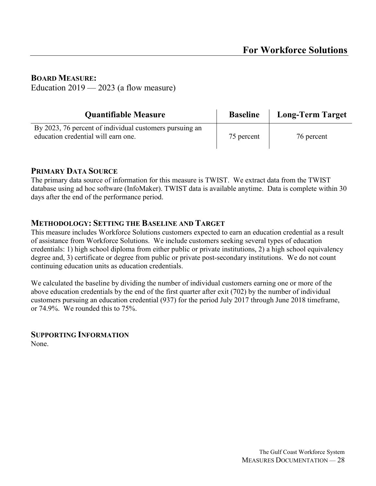**BOARD MEASURE:** Education  $2019 - 2023$  (a flow measure)

| <b>Quantifiable Measure</b>                                                                    | <b>Baseline</b> | <b>Long-Term Target</b> |
|------------------------------------------------------------------------------------------------|-----------------|-------------------------|
| By 2023, 76 percent of individual customers pursuing an<br>education credential will earn one. | 75 percent      | 76 percent              |

#### **PRIMARY DATA SOURCE**

The primary data source of information for this measure is TWIST. We extract data from the TWIST database using ad hoc software (InfoMaker). TWIST data is available anytime. Data is complete within 30 days after the end of the performance period.

#### **METHODOLOGY: SETTING THE BASELINE AND TARGET**

This measure includes Workforce Solutions customers expected to earn an education credential as a result of assistance from Workforce Solutions. We include customers seeking several types of education credentials: 1) high school diploma from either public or private institutions, 2) a high school equivalency degree and, 3) certificate or degree from public or private post-secondary institutions. We do not count continuing education units as education credentials.

We calculated the baseline by dividing the number of individual customers earning one or more of the above education credentials by the end of the first quarter after exit (702) by the number of individual customers pursuing an education credential (937) for the period July 2017 through June 2018 timeframe, or 74.9%. We rounded this to 75%.

#### **SUPPORTING INFORMATION** None.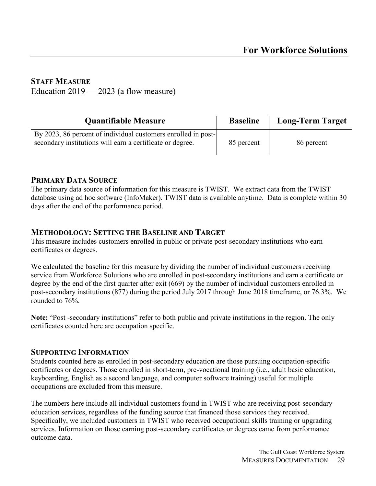#### **STAFF MEASURE**

Education  $2019 - 2023$  (a flow measure)

| <b>Quantifiable Measure</b>                                                                                                | <b>Baseline</b> | <b>Long-Term Target</b> |
|----------------------------------------------------------------------------------------------------------------------------|-----------------|-------------------------|
| By 2023, 86 percent of individual customers enrolled in post-<br>secondary institutions will earn a certificate or degree. | 85 percent      | 86 percent              |

#### **PRIMARY DATA SOURCE**

The primary data source of information for this measure is TWIST. We extract data from the TWIST database using ad hoc software (InfoMaker). TWIST data is available anytime. Data is complete within 30 days after the end of the performance period.

#### **METHODOLOGY: SETTING THE BASELINE AND TARGET**

This measure includes customers enrolled in public or private post-secondary institutions who earn certificates or degrees.

We calculated the baseline for this measure by dividing the number of individual customers receiving service from Workforce Solutions who are enrolled in post-secondary institutions and earn a certificate or degree by the end of the first quarter after exit (669) by the number of individual customers enrolled in post-secondary institutions (877) during the period July 2017 through June 2018 timeframe, or 76.3%. We rounded to 76%.

**Note:** "Post -secondary institutions" refer to both public and private institutions in the region. The only certificates counted here are occupation specific.

#### **SUPPORTING INFORMATION**

Students counted here as enrolled in post-secondary education are those pursuing occupation-specific certificates or degrees. Those enrolled in short-term, pre-vocational training (i.e., adult basic education, keyboarding, English as a second language, and computer software training) useful for multiple occupations are excluded from this measure.

The numbers here include all individual customers found in TWIST who are receiving post-secondary education services, regardless of the funding source that financed those services they received. Specifically, we included customers in TWIST who received occupational skills training or upgrading services. Information on those earning post-secondary certificates or degrees came from performance outcome data.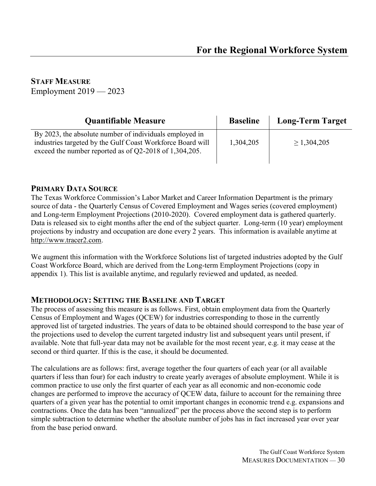**STAFF MEASURE**

Employment 2019 — 2023

| <b>Quantifiable Measure</b>                                                                                                                                                     | <b>Baseline</b> | <b>Long-Term Target</b> |
|---------------------------------------------------------------------------------------------------------------------------------------------------------------------------------|-----------------|-------------------------|
| By 2023, the absolute number of individuals employed in<br>industries targeted by the Gulf Coast Workforce Board will<br>exceed the number reported as of Q2-2018 of 1,304,205. | 1,304,205       | $\geq 1,304,205$        |

#### **PRIMARY DATA SOURCE**

The Texas Workforce Commission's Labor Market and Career Information Department is the primary source of data - the Quarterly Census of Covered Employment and Wages series (covered employment) and Long-term Employment Projections (2010-2020). Covered employment data is gathered quarterly. Data is released six to eight months after the end of the subject quarter. Long-term (10 year) employment projections by industry and occupation are done every 2 years. This information is available anytime at [http://www.tracer2.com.](http://www.tracer2.com/)

We augment this information with the Workforce Solutions list of targeted industries adopted by the Gulf Coast Workforce Board, which are derived from the Long-term Employment Projections (copy in appendix 1). This list is available anytime, and regularly reviewed and updated, as needed.

#### **METHODOLOGY: SETTING THE BASELINE AND TARGET**

The process of assessing this measure is as follows. First, obtain employment data from the Quarterly Census of Employment and Wages (QCEW) for industries corresponding to those in the currently approved list of targeted industries. The years of data to be obtained should correspond to the base year of the projections used to develop the current targeted industry list and subsequent years until present, if available. Note that full-year data may not be available for the most recent year, e.g. it may cease at the second or third quarter. If this is the case, it should be documented.

The calculations are as follows: first, average together the four quarters of each year (or all available quarters if less than four) for each industry to create yearly averages of absolute employment. While it is common practice to use only the first quarter of each year as all economic and non-economic code changes are performed to improve the accuracy of QCEW data, failure to account for the remaining three quarters of a given year has the potential to omit important changes in economic trend e.g. expansions and contractions. Once the data has been "annualized" per the process above the second step is to perform simple subtraction to determine whether the absolute number of jobs has in fact increased year over year from the base period onward.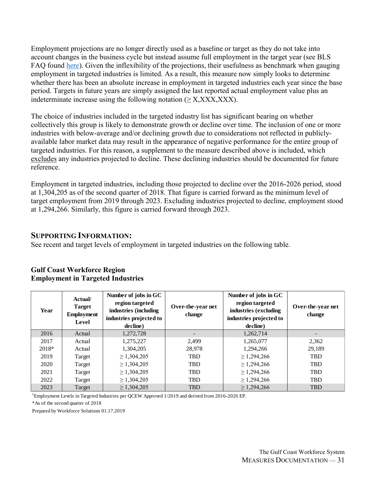Employment projections are no longer directly used as a baseline or target as they do not take into account changes in the business cycle but instead assume full employment in the target year (see BLS FAQ found [here\)](https://www.bls.gov/emp/frequently-asked-questions.htm#account). Given the inflexibility of the projections, their usefulness as benchmark when gauging employment in targeted industries is limited. As a result, this measure now simply looks to determine whether there has been an absolute increase in employment in targeted industries each year since the base period. Targets in future years are simply assigned the last reported actual employment value plus an indeterminate increase using the following notation ( $\geq$  X, XXX, XXX).

The choice of industries included in the targeted industry list has significant bearing on whether collectively this group is likely to demonstrate growth or decline over time. The inclusion of one or more industries with below-average and/or declining growth due to considerations not reflected in publiclyavailable labor market data may result in the appearance of negative performance for the entire group of targeted industries. For this reason, a supplement to the measure described above is included, which excludes any industries projected to decline. These declining industries should be documented for future reference.

Employment in targeted industries, including those projected to decline over the 2016-2026 period, stood at 1,304,205 as of the second quarter of 2018. That figure is carried forward as the minimum level of target employment from 2019 through 2023. Excluding industries projected to decline, employment stood at 1,294,266. Similarly, this figure is carried forward through 2023.

#### **SUPPORTING INFORMATION:**

See recent and target levels of employment in targeted industries on the following table.

| Year  | Actual/<br><b>Target</b><br><b>Employment</b><br>Level | Number of jobs in GC<br>region targeted<br>industries (including<br>industries projected to<br>decline) | Over-the-year net<br>change | Number of jobs in GC<br>region targeted<br>industries (excluding<br>industries projected to<br>decline) | Over-the-year net<br>change |
|-------|--------------------------------------------------------|---------------------------------------------------------------------------------------------------------|-----------------------------|---------------------------------------------------------------------------------------------------------|-----------------------------|
| 2016  | Actual                                                 | 1,272,728                                                                                               |                             | 1,262,714                                                                                               |                             |
| 2017  | Actual                                                 | 1,275,227                                                                                               | 2,499                       | 1,265,077                                                                                               | 2,362                       |
| 2018* | Actual                                                 | 1,304,205                                                                                               | 28,978                      | 1.294.266                                                                                               | 29,189                      |
| 2019  | Target                                                 | $\geq 1,304,205$                                                                                        | <b>TBD</b>                  | $\geq$ 1,294,266                                                                                        | TBD                         |
| 2020  | Target                                                 | $\geq 1,304,205$                                                                                        | <b>TBD</b>                  | $\geq$ 1,294,266                                                                                        | <b>TBD</b>                  |
| 2021  | Target                                                 | $\geq 1,304,205$                                                                                        | TBD                         | $\geq$ 1,294,266                                                                                        | TBD                         |
| 2022  | Target                                                 | $\geq 1,304,205$                                                                                        | <b>TBD</b>                  | $\geq$ 1,294,266                                                                                        | <b>TBD</b>                  |
| 2023  | Target                                                 | $\geq 1,304,205$                                                                                        | <b>TBD</b>                  | $\geq 1,294,266$                                                                                        | <b>TBD</b>                  |

#### **Gulf Coast Workforce Region Employment in Targeted Industries**

<sup>1</sup>Employment Levels in Targeted Industries per QCEW Approved 1/2019 and derived from 2016-2026 EP.

\*As of the second quarter of 2018

Prepared by Workforce Solutions 01.17.2019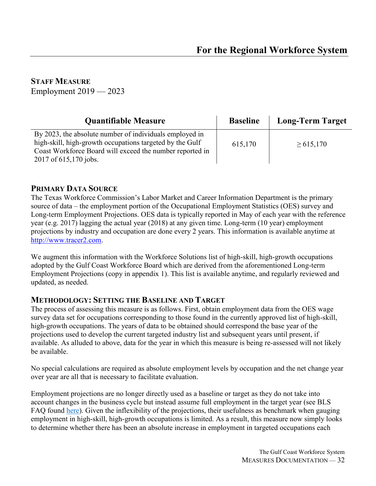| <b>Quantifiable Measure</b>                                                                                                                                                                              | <b>Baseline</b> | <b>Long-Term Target</b> |
|----------------------------------------------------------------------------------------------------------------------------------------------------------------------------------------------------------|-----------------|-------------------------|
| By 2023, the absolute number of individuals employed in<br>high-skill, high-growth occupations targeted by the Gulf<br>Coast Workforce Board will exceed the number reported in<br>2017 of 615,170 jobs. | 615,170         | $\geq 615,170$          |

#### **PRIMARY DATA SOURCE**

The Texas Workforce Commission's Labor Market and Career Information Department is the primary source of data – the employment portion of the Occupational Employment Statistics (OES) survey and Long-term Employment Projections. OES data is typically reported in May of each year with the reference year (e.g. 2017) lagging the actual year (2018) at any given time. Long-term (10 year) employment projections by industry and occupation are done every 2 years. This information is available anytime at [http://www.tracer2.com.](http://www.tracer2.com/)

We augment this information with the Workforce Solutions list of high-skill, high-growth occupations adopted by the Gulf Coast Workforce Board which are derived from the aforementioned Long-term Employment Projections (copy in appendix 1). This list is available anytime, and regularly reviewed and updated, as needed.

#### **METHODOLOGY: SETTING THE BASELINE AND TARGET**

The process of assessing this measure is as follows. First, obtain employment data from the OES wage survey data set for occupations corresponding to those found in the currently approved list of high-skill, high-growth occupations. The years of data to be obtained should correspond the base year of the projections used to develop the current targeted industry list and subsequent years until present, if available. As alluded to above, data for the year in which this measure is being re-assessed will not likely be available.

No special calculations are required as absolute employment levels by occupation and the net change year over year are all that is necessary to facilitate evaluation.

Employment projections are no longer directly used as a baseline or target as they do not take into account changes in the business cycle but instead assume full employment in the target year (see BLS FAQ found [here\)](https://www.bls.gov/emp/frequently-asked-questions.htm#account). Given the inflexibility of the projections, their usefulness as benchmark when gauging employment in high-skill, high-growth occupations is limited. As a result, this measure now simply looks to determine whether there has been an absolute increase in employment in targeted occupations each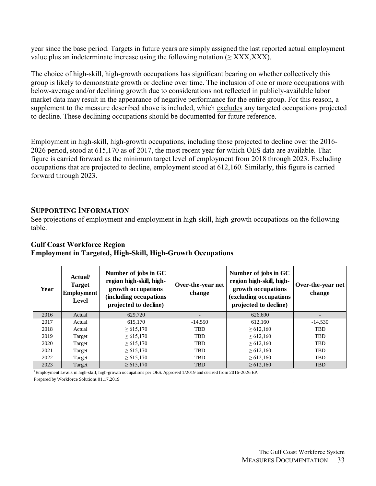year since the base period. Targets in future years are simply assigned the last reported actual employment value plus an indeterminate increase using the following notation ( $\geq$  XXX,XXX).

The choice of high-skill, high-growth occupations has significant bearing on whether collectively this group is likely to demonstrate growth or decline over time. The inclusion of one or more occupations with below-average and/or declining growth due to considerations not reflected in publicly-available labor market data may result in the appearance of negative performance for the entire group. For this reason, a supplement to the measure described above is included, which excludes any targeted occupations projected to decline. These declining occupations should be documented for future reference.

Employment in high-skill, high-growth occupations, including those projected to decline over the 2016- 2026 period, stood at 615,170 as of 2017, the most recent year for which OES data are available. That figure is carried forward as the minimum target level of employment from 2018 through 2023. Excluding occupations that are projected to decline, employment stood at 612,160. Similarly, this figure is carried forward through 2023.

#### **SUPPORTING INFORMATION**

See projections of employment and employment in high-skill, high-growth occupations on the following table.

| Year | <b>Actual</b><br><b>Target</b><br><b>Employment</b><br>Level | Number of jobs in GC<br>region high-skill, high-<br>growth occupations<br>(including occupations<br>projected to decline) | Over-the-year net<br>change | Number of jobs in GC<br>region high-skill, high-<br>growth occupations<br>(excluding occupations)<br>projected to decline) | Over-the-year net  <br>change |
|------|--------------------------------------------------------------|---------------------------------------------------------------------------------------------------------------------------|-----------------------------|----------------------------------------------------------------------------------------------------------------------------|-------------------------------|
| 2016 | Actual                                                       | 629,720                                                                                                                   |                             | 626,690                                                                                                                    |                               |
| 2017 | Actual                                                       | 615,170                                                                                                                   | $-14,550$                   | 612,160                                                                                                                    | $-14,530$                     |
| 2018 | Actual                                                       | $\geq 615,170$                                                                                                            | <b>TBD</b>                  | $\geq 612,160$                                                                                                             | <b>TBD</b>                    |
| 2019 | Target                                                       | $\geq 615,170$                                                                                                            | <b>TBD</b>                  | $\geq 612,160$                                                                                                             | <b>TBD</b>                    |
| 2020 | Target                                                       | $\geq 615,170$                                                                                                            | <b>TBD</b>                  | $\geq 612,160$                                                                                                             | <b>TBD</b>                    |
| 2021 | Target                                                       | $\geq 615,170$                                                                                                            | <b>TBD</b>                  | $\geq 612,160$                                                                                                             | <b>TBD</b>                    |
| 2022 | Target                                                       | $\geq 615,170$                                                                                                            | <b>TBD</b>                  | $\geq 612,160$                                                                                                             | <b>TBD</b>                    |
| 2023 | Target                                                       | $\geq 615,170$                                                                                                            | <b>TBD</b>                  | $\geq 612,160$                                                                                                             | <b>TBD</b>                    |

#### **Gulf Coast Workforce Region Employment in Targeted, High-Skill, High-Growth Occupations**

<sup>1</sup>Employment Levels in high-skill, high-growth occupations per OES. Approved 1/2019 and derived from 2016-2026 EP. Prepared by Workforce Solutions 01.17.2019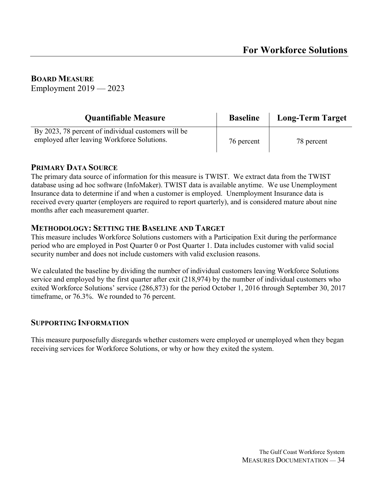**BOARD MEASURE** Employment 2019 — 2023

| <b>Quantifiable Measure</b>                                                                        | <b>Baseline</b> | <b>Long-Term Target</b> |
|----------------------------------------------------------------------------------------------------|-----------------|-------------------------|
| By 2023, 78 percent of individual customers will be<br>employed after leaving Workforce Solutions. | 76 percent      | 78 percent              |

#### **PRIMARY DATA SOURCE**

The primary data source of information for this measure is TWIST. We extract data from the TWIST database using ad hoc software (InfoMaker). TWIST data is available anytime. We use Unemployment Insurance data to determine if and when a customer is employed. Unemployment Insurance data is received every quarter (employers are required to report quarterly), and is considered mature about nine months after each measurement quarter.

#### **METHODOLOGY: SETTING THE BASELINE AND TARGET**

This measure includes Workforce Solutions customers with a Participation Exit during the performance period who are employed in Post Quarter 0 or Post Quarter 1. Data includes customer with valid social security number and does not include customers with valid exclusion reasons.

We calculated the baseline by dividing the number of individual customers leaving Workforce Solutions service and employed by the first quarter after exit (218,974) by the number of individual customers who exited Workforce Solutions' service (286,873) for the period October 1, 2016 through September 30, 2017 timeframe, or 76.3%. We rounded to 76 percent.

#### **SUPPORTING INFORMATION**

This measure purposefully disregards whether customers were employed or unemployed when they began receiving services for Workforce Solutions, or why or how they exited the system.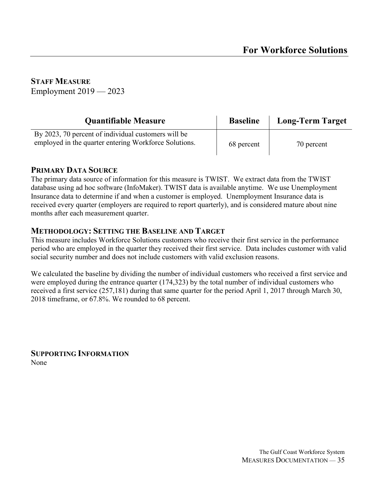| <b>Quantifiable Measure</b>                                                                                  | <b>Baseline</b> | <b>Long-Term Target</b> |
|--------------------------------------------------------------------------------------------------------------|-----------------|-------------------------|
| By 2023, 70 percent of individual customers will be<br>employed in the quarter entering Workforce Solutions. | 68 percent      | 70 percent              |

#### **PRIMARY DATA SOURCE**

The primary data source of information for this measure is TWIST. We extract data from the TWIST database using ad hoc software (InfoMaker). TWIST data is available anytime. We use Unemployment Insurance data to determine if and when a customer is employed. Unemployment Insurance data is received every quarter (employers are required to report quarterly), and is considered mature about nine months after each measurement quarter.

#### **METHODOLOGY: SETTING THE BASELINE AND TARGET**

This measure includes Workforce Solutions customers who receive their first service in the performance period who are employed in the quarter they received their first service. Data includes customer with valid social security number and does not include customers with valid exclusion reasons.

We calculated the baseline by dividing the number of individual customers who received a first service and were employed during the entrance quarter (174,323) by the total number of individual customers who received a first service (257,181) during that same quarter for the period April 1, 2017 through March 30, 2018 timeframe, or 67.8%. We rounded to 68 percent.

**SUPPORTING INFORMATION** None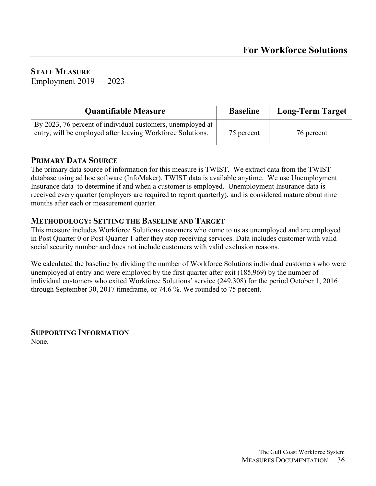| <b>Quantifiable Measure</b>                                                                                              | <b>Baseline</b> | <b>Long-Term Target</b> |
|--------------------------------------------------------------------------------------------------------------------------|-----------------|-------------------------|
| By 2023, 76 percent of individual customers, unemployed at<br>entry, will be employed after leaving Workforce Solutions. | 75 percent      | 76 percent              |

#### **PRIMARY DATA SOURCE**

The primary data source of information for this measure is TWIST. We extract data from the TWIST database using ad hoc software (InfoMaker). TWIST data is available anytime. We use Unemployment Insurance data to determine if and when a customer is employed. Unemployment Insurance data is received every quarter (employers are required to report quarterly), and is considered mature about nine months after each or measurement quarter.

#### **METHODOLOGY: SETTING THE BASELINE AND TARGET**

This measure includes Workforce Solutions customers who come to us as unemployed and are employed in Post Quarter 0 or Post Quarter 1 after they stop receiving services. Data includes customer with valid social security number and does not include customers with valid exclusion reasons.

We calculated the baseline by dividing the number of Workforce Solutions individual customers who were unemployed at entry and were employed by the first quarter after exit (185,969) by the number of individual customers who exited Workforce Solutions' service (249,308) for the period October 1, 2016 through September 30, 2017 timeframe, or 74.6 %. We rounded to 75 percent.

**SUPPORTING INFORMATION** None.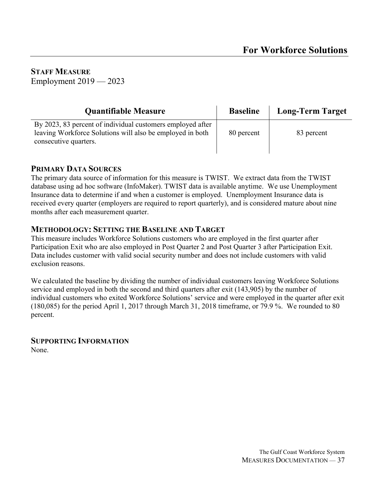| <b>Quantifiable Measure</b>                                                                                                                      | <b>Baseline</b> | <b>Long-Term Target</b> |
|--------------------------------------------------------------------------------------------------------------------------------------------------|-----------------|-------------------------|
| By 2023, 83 percent of individual customers employed after<br>leaving Workforce Solutions will also be employed in both<br>consecutive quarters. | 80 percent      | 83 percent              |

#### **PRIMARY DATA SOURCES**

The primary data source of information for this measure is TWIST. We extract data from the TWIST database using ad hoc software (InfoMaker). TWIST data is available anytime. We use Unemployment Insurance data to determine if and when a customer is employed. Unemployment Insurance data is received every quarter (employers are required to report quarterly), and is considered mature about nine months after each measurement quarter.

#### **METHODOLOGY: SETTING THE BASELINE AND TARGET**

This measure includes Workforce Solutions customers who are employed in the first quarter after Participation Exit who are also employed in Post Quarter 2 and Post Quarter 3 after Participation Exit. Data includes customer with valid social security number and does not include customers with valid exclusion reasons.

We calculated the baseline by dividing the number of individual customers leaving Workforce Solutions service and employed in both the second and third quarters after exit (143,905) by the number of individual customers who exited Workforce Solutions' service and were employed in the quarter after exit (180,085) for the period April 1, 2017 through March 31, 2018 timeframe, or 79.9 %. We rounded to 80 percent.

### **SUPPORTING INFORMATION**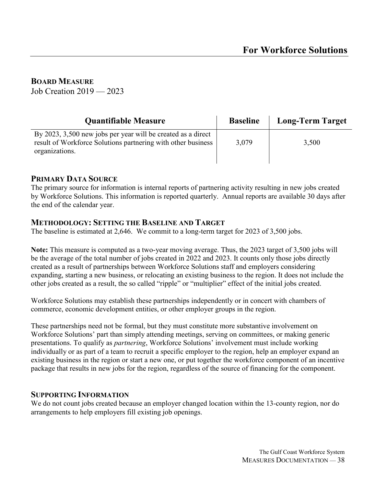#### **BOARD MEASURE**

Job Creation 2019 — 2023

| <b>Quantifiable Measure</b>                                                                                                                      | <b>Baseline</b> | <b>Long-Term Target</b> |
|--------------------------------------------------------------------------------------------------------------------------------------------------|-----------------|-------------------------|
| By 2023, 3,500 new jobs per year will be created as a direct<br>result of Workforce Solutions partnering with other business  <br>organizations. | 3,079           | 3,500                   |

#### **PRIMARY DATA SOURCE**

The primary source for information is internal reports of partnering activity resulting in new jobs created by Workforce Solutions. This information is reported quarterly. Annual reports are available 30 days after the end of the calendar year.

#### **METHODOLOGY: SETTING THE BASELINE AND TARGET**

The baseline is estimated at 2,646. We commit to a long-term target for 2023 of 3,500 jobs.

**Note:** This measure is computed as a two-year moving average. Thus, the 2023 target of 3,500 jobs will be the average of the total number of jobs created in 2022 and 2023. It counts only those jobs directly created as a result of partnerships between Workforce Solutions staff and employers considering expanding, starting a new business, or relocating an existing business to the region. It does not include the other jobs created as a result, the so called "ripple" or "multiplier" effect of the initial jobs created.

Workforce Solutions may establish these partnerships independently or in concert with chambers of commerce, economic development entities, or other employer groups in the region.

These partnerships need not be formal, but they must constitute more substantive involvement on Workforce Solutions' part than simply attending meetings, serving on committees, or making generic presentations. To qualify as *partnering*, Workforce Solutions' involvement must include working individually or as part of a team to recruit a specific employer to the region, help an employer expand an existing business in the region or start a new one, or put together the workforce component of an incentive package that results in new jobs for the region, regardless of the source of financing for the component.

#### **SUPPORTING INFORMATION**

We do not count jobs created because an employer changed location within the 13-county region, nor do arrangements to help employers fill existing job openings.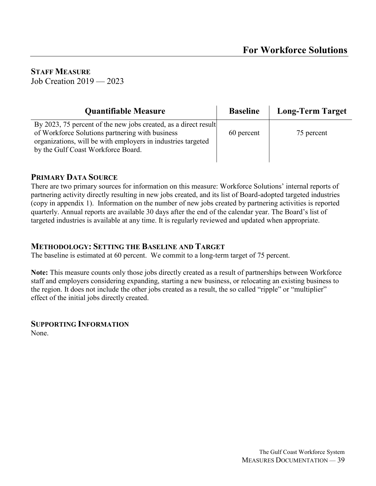**STAFF MEASURE** Job Creation 2019 — 2023

| <b>Quantifiable Measure</b>                                                                                                                                                                                              | <b>Baseline</b> | <b>Long-Term Target</b> |
|--------------------------------------------------------------------------------------------------------------------------------------------------------------------------------------------------------------------------|-----------------|-------------------------|
| By 2023, 75 percent of the new jobs created, as a direct result<br>of Workforce Solutions partnering with business<br>organizations, will be with employers in industries targeted<br>by the Gulf Coast Workforce Board. | 60 percent      | 75 percent              |

#### **PRIMARY DATA SOURCE**

There are two primary sources for information on this measure: Workforce Solutions' internal reports of partnering activity directly resulting in new jobs created, and its list of Board-adopted targeted industries (copy in appendix 1). Information on the number of new jobs created by partnering activities is reported quarterly. Annual reports are available 30 days after the end of the calendar year. The Board's list of targeted industries is available at any time. It is regularly reviewed and updated when appropriate.

#### **METHODOLOGY: SETTING THE BASELINE AND TARGET**

The baseline is estimated at 60 percent. We commit to a long-term target of 75 percent.

**Note:** This measure counts only those jobs directly created as a result of partnerships between Workforce staff and employers considering expanding, starting a new business, or relocating an existing business to the region. It does not include the other jobs created as a result, the so called "ripple" or "multiplier" effect of the initial jobs directly created.

#### **SUPPORTING INFORMATION**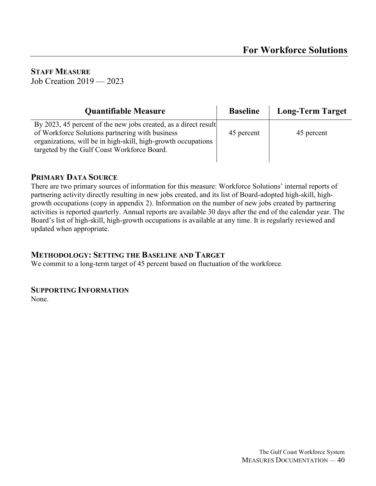**STAFF MEASURE** Job Creation 2019 — 2023

| <b>Quantifiable Measure</b>                                                                                                                                                                                                        | <b>Baseline</b> | <b>Long-Term Target</b> |
|------------------------------------------------------------------------------------------------------------------------------------------------------------------------------------------------------------------------------------|-----------------|-------------------------|
| By 2023, 45 percent of the new jobs created, as a direct result<br>of Workforce Solutions partnering with business<br>organizations, will be in high-skill, high-growth occupations<br>targeted by the Gulf Coast Workforce Board. | 45 percent      | 45 percent              |

#### **PRIMARY DATA SOURCE**

There are two primary sources of information for this measure: Workforce Solutions' internal reports of partnering activity directly resulting in new jobs created, and its list of Board-adopted high-skill, highgrowth occupations (copy in appendix 2). Information on the number of new jobs created by partnering activities is reported quarterly. Annual reports are available 30 days after the end of the calendar year. The Board's list of high-skill, high-growth occupations is available at any time. It is regularly reviewed and updated when appropriate.

#### **METHODOLOGY: SETTING THE BASELINE AND TARGET**

We commit to a long-term target of 45 percent based on fluctuation of the workforce.

#### **SUPPORTING INFORMATION**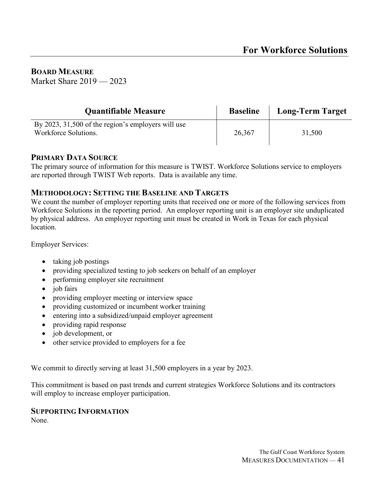**BOARD MEASURE** Market Share 2019 — 2023

| <b>Quantifiable Measure</b>                                                | <b>Baseline</b> | <b>Long-Term Target</b> |
|----------------------------------------------------------------------------|-----------------|-------------------------|
| By 2023, 31,500 of the region's employers will use<br>Workforce Solutions. | 26,367          | 31,500                  |

#### **PRIMARY DATA SOURCE**

The primary source of information for this measure is TWIST. Workforce Solutions service to employers are reported through TWIST Web reports. Data is available any time.

#### **METHODOLOGY: SETTING THE BASELINE AND TARGETS**

We count the number of employer reporting units that received one or more of the following services from Workforce Solutions in the reporting period. An employer reporting unit is an employer site unduplicated by physical address. An employer reporting unit must be created in Work in Texas for each physical location.

Employer Services:

- taking job postings
- providing specialized testing to job seekers on behalf of an employer
- performing employer site recruitment
- iob fairs
- providing employer meeting or interview space
- providing customized or incumbent worker training
- entering into a subsidized/unpaid employer agreement
- providing rapid response
- job development, or
- other service provided to employers for a fee

We commit to directly serving at least 31,500 employers in a year by 2023.

This commitment is based on past trends and current strategies Workforce Solutions and its contractors will employ to increase employer participation.

#### **SUPPORTING INFORMATION**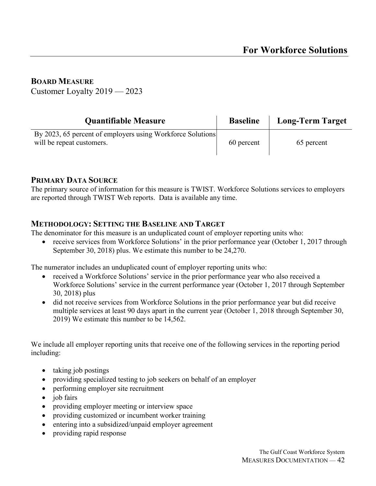#### **BOARD MEASURE**

Customer Loyalty 2019 — 2023

| <b>Quantifiable Measure</b>                                                             | <b>Baseline</b> | <b>Long-Term Target</b> |
|-----------------------------------------------------------------------------------------|-----------------|-------------------------|
| By 2023, 65 percent of employers using Workforce Solutions<br>will be repeat customers. | 60 percent      | 65 percent              |

#### **PRIMARY DATA SOURCE**

The primary source of information for this measure is TWIST. Workforce Solutions services to employers are reported through TWIST Web reports. Data is available any time.

#### **METHODOLOGY: SETTING THE BASELINE AND TARGET**

The denominator for this measure is an unduplicated count of employer reporting units who:

• receive services from Workforce Solutions' in the prior performance year (October 1, 2017 through September 30, 2018) plus. We estimate this number to be 24,270.

The numerator includes an unduplicated count of employer reporting units who:

- received a Workforce Solutions' service in the prior performance year who also received a Workforce Solutions' service in the current performance year (October 1, 2017 through September 30, 2018) plus
- did not receive services from Workforce Solutions in the prior performance year but did receive multiple services at least 90 days apart in the current year (October 1, 2018 through September 30, 2019) We estimate this number to be 14,562.

We include all employer reporting units that receive one of the following services in the reporting period including:

- taking job postings
- providing specialized testing to job seekers on behalf of an employer
- performing employer site recruitment
- job fairs
- providing employer meeting or interview space
- providing customized or incumbent worker training
- entering into a subsidized/unpaid employer agreement
- providing rapid response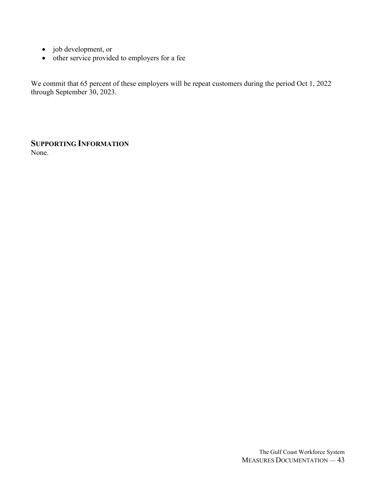- job development, or
- other service provided to employers for a fee

We commit that 65 percent of these employers will be repeat customers during the period Oct 1, 2022 through September 30, 2023.

**SUPPORTING INFORMATION** None.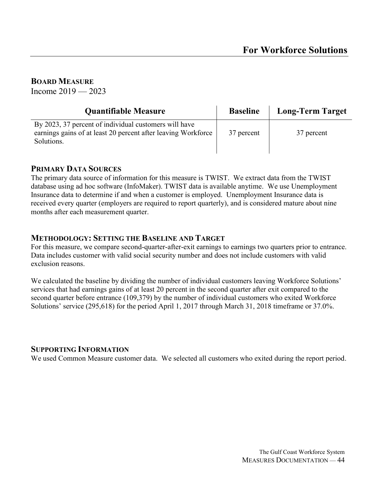#### **BOARD MEASURE**

Income  $2019 - 2023$ 

| <b>Quantifiable Measure</b>                                                                                                          | <b>Baseline</b> | <b>Long-Term Target</b> |
|--------------------------------------------------------------------------------------------------------------------------------------|-----------------|-------------------------|
| By 2023, 37 percent of individual customers will have<br>earnings gains of at least 20 percent after leaving Workforce<br>Solutions. | 37 percent      | 37 percent              |

#### **PRIMARY DATA SOURCES**

The primary data source of information for this measure is TWIST. We extract data from the TWIST database using ad hoc software (InfoMaker). TWIST data is available anytime. We use Unemployment Insurance data to determine if and when a customer is employed. Unemployment Insurance data is received every quarter (employers are required to report quarterly), and is considered mature about nine months after each measurement quarter.

#### **METHODOLOGY: SETTING THE BASELINE AND TARGET**

For this measure, we compare second-quarter-after-exit earnings to earnings two quarters prior to entrance. Data includes customer with valid social security number and does not include customers with valid exclusion reasons.

We calculated the baseline by dividing the number of individual customers leaving Workforce Solutions' services that had earnings gains of at least 20 percent in the second quarter after exit compared to the second quarter before entrance (109,379) by the number of individual customers who exited Workforce Solutions' service (295,618) for the period April 1, 2017 through March 31, 2018 timeframe or 37.0%.

#### **SUPPORTING INFORMATION**

We used Common Measure customer data. We selected all customers who exited during the report period.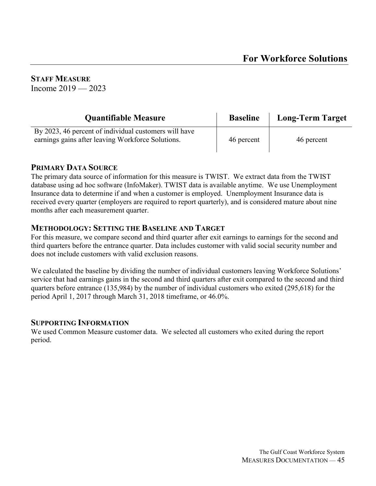**STAFF MEASURE** Income  $2019 - 2023$ 

| <b>Quantifiable Measure</b>                                                                                | <b>Baseline</b> | <b>Long-Term Target</b> |
|------------------------------------------------------------------------------------------------------------|-----------------|-------------------------|
| By 2023, 46 percent of individual customers will have<br>earnings gains after leaving Workforce Solutions. | 46 percent      | 46 percent              |

#### **PRIMARY DATA SOURCE**

The primary data source of information for this measure is TWIST. We extract data from the TWIST database using ad hoc software (InfoMaker). TWIST data is available anytime. We use Unemployment Insurance data to determine if and when a customer is employed. Unemployment Insurance data is received every quarter (employers are required to report quarterly), and is considered mature about nine months after each measurement quarter.

#### **METHODOLOGY: SETTING THE BASELINE AND TARGET**

For this measure, we compare second and third quarter after exit earnings to earnings for the second and third quarters before the entrance quarter. Data includes customer with valid social security number and does not include customers with valid exclusion reasons.

We calculated the baseline by dividing the number of individual customers leaving Workforce Solutions' service that had earnings gains in the second and third quarters after exit compared to the second and third quarters before entrance (135,984) by the number of individual customers who exited (295,618) for the period April 1, 2017 through March 31, 2018 timeframe, or 46.0%.

#### **SUPPORTING INFORMATION**

We used Common Measure customer data. We selected all customers who exited during the report period.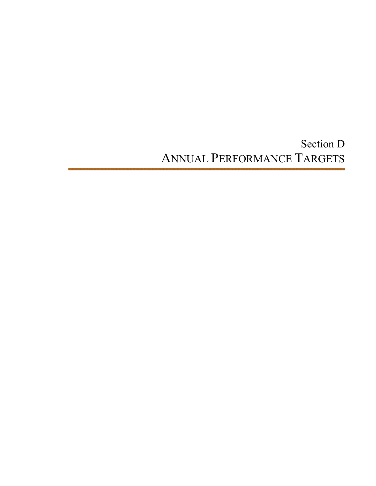Section D ANNUAL PERFORMANCE TARGETS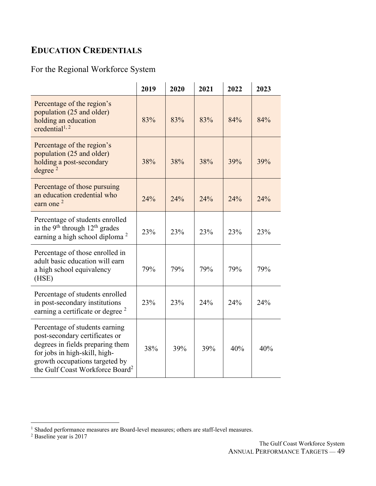### **EDUCATION CREDENTIALS**

### For the Regional Workforce System

|                                                                                                                                                                                                                        | 2019 | 2020 | 2021 | 2022 | 2023 |
|------------------------------------------------------------------------------------------------------------------------------------------------------------------------------------------------------------------------|------|------|------|------|------|
| Percentage of the region's<br>population (25 and older)<br>holding an education<br>credential <sup>1, 2</sup>                                                                                                          | 83%  | 83%  | 83%  | 84%  | 84%  |
| Percentage of the region's<br>population (25 and older)<br>holding a post-secondary<br>degree $2$                                                                                                                      | 38%  | 38%  | 38%  | 39%  | 39%  |
| Percentage of those pursuing<br>an education credential who<br>earn one $2$                                                                                                                                            | 24%  | 24%  | 24%  | 24%  | 24%  |
| Percentage of students enrolled<br>in the 9 <sup>th</sup> through $12th$ grades<br>earning a high school diploma <sup>2</sup>                                                                                          | 23%  | 23%  | 23%  | 23%  | 23%  |
| Percentage of those enrolled in<br>adult basic education will earn<br>a high school equivalency<br>(HSE)                                                                                                               | 79%  | 79%  | 79%  | 79%  | 79%  |
| Percentage of students enrolled<br>in post-secondary institutions<br>earning a certificate or degree <sup>2</sup>                                                                                                      | 23%  | 23%  | 24%  | 24%  | 24%  |
| Percentage of students earning<br>post-secondary certificates or<br>degrees in fields preparing them<br>for jobs in high-skill, high-<br>growth occupations targeted by<br>the Gulf Coast Workforce Board <sup>2</sup> | 38%  | 39%  | 39%  | 40%  | 40%  |

 $\overline{a}$ 

<sup>&</sup>lt;sup>1</sup> Shaded performance measures are Board-level measures; others are staff-level measures.

<sup>&</sup>lt;sup>2</sup> Baseline year is 2017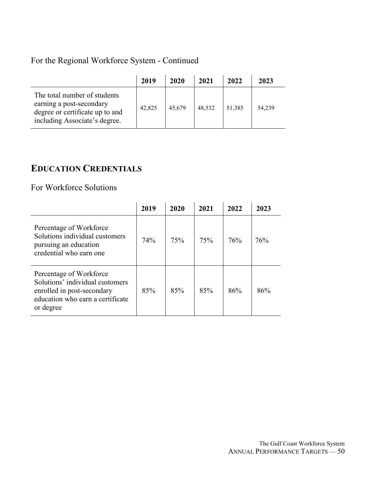### For the Regional Workforce System - Continued

|                                                                                                                              | 2019   | 2020   | 2021   | 2022   | 2023   |
|------------------------------------------------------------------------------------------------------------------------------|--------|--------|--------|--------|--------|
| The total number of students<br>earning a post-secondary<br>degree or certificate up to and<br>including Associate's degree. | 42,825 | 45,679 | 48,532 | 51,385 | 54,239 |

### **EDUCATION CREDENTIALS**

For Workforce Solutions

|                                                                                                                                           | 2019 | 2020 | 2021 | 2022 | 2023 |
|-------------------------------------------------------------------------------------------------------------------------------------------|------|------|------|------|------|
| Percentage of Workforce<br>Solutions individual customers<br>pursuing an education<br>credential who earn one                             | 74%  | 75%  | 75%  | 76%  | 76%  |
| Percentage of Workforce<br>Solutions' individual customers<br>enrolled in post-secondary<br>education who earn a certificate<br>or degree | 85%  | 85%  | 85%  | 86%  | 86%  |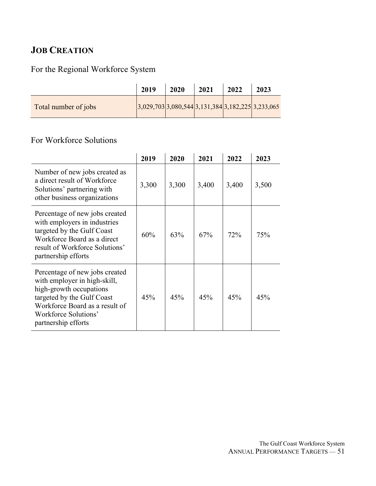### **JOB CREATION**

### For the Regional Workforce System

|                      | 2019                                                 | 2020 | 2021 | 2022 | 2023 |
|----------------------|------------------------------------------------------|------|------|------|------|
| Total number of jobs | $ 3,029,703 3,080,544 3,131,384 3,182,225 3,233,065$ |      |      |      |      |

### For Workforce Solutions

|                                                                                                                                                                                                          | 2019  | 2020  | 2021  | 2022  | 2023  |
|----------------------------------------------------------------------------------------------------------------------------------------------------------------------------------------------------------|-------|-------|-------|-------|-------|
| Number of new jobs created as<br>a direct result of Workforce<br>Solutions' partnering with<br>other business organizations                                                                              | 3,300 | 3,300 | 3,400 | 3,400 | 3,500 |
| Percentage of new jobs created<br>with employers in industries<br>targeted by the Gulf Coast<br>Workforce Board as a direct<br>result of Workforce Solutions'<br>partnership efforts                     | 60%   | 63%   | 67%   | 72%   | 75%   |
| Percentage of new jobs created<br>with employer in high-skill,<br>high-growth occupations<br>targeted by the Gulf Coast<br>Workforce Board as a result of<br>Workforce Solutions'<br>partnership efforts | 45%   | 45%   | 45%   | 45%   | 45%   |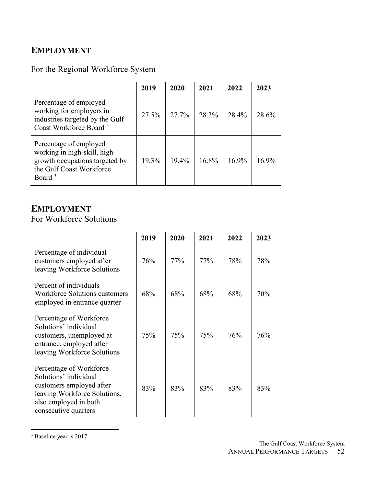### **EMPLOYMENT**

### For the Regional Workforce System

|                                                                                                                                            | 2019  | 2020  | 2021  | 2022  | 2023  |
|--------------------------------------------------------------------------------------------------------------------------------------------|-------|-------|-------|-------|-------|
| Percentage of employed<br>working for employers in<br>industries targeted by the Gulf<br>Coast Workforce Board <sup>3</sup>                | 27.5% | 27.7% | 28.3% | 28.4% | 28.6% |
| Percentage of employed<br>working in high-skill, high-<br>growth occupations targeted by<br>the Gulf Coast Workforce<br>Board <sup>3</sup> | 19.3% | 19.4% | 168%  | 169%  | 169%  |

### **EMPLOYMENT**

For Workforce Solutions

|                                                                                                                                                               | 2019 | 2020 | 2021 | 2022 | 2023 |
|---------------------------------------------------------------------------------------------------------------------------------------------------------------|------|------|------|------|------|
| Percentage of individual<br>customers employed after<br>leaving Workforce Solutions                                                                           | 76%  | 77%  | 77%  | 78%  | 78%  |
| Percent of individuals<br>Workforce Solutions customers<br>employed in entrance quarter                                                                       | 68%  | 68%  | 68%  | 68%  | 70%  |
| Percentage of Workforce<br>Solutions' individual<br>customers, unemployed at<br>entrance, employed after<br>leaving Workforce Solutions                       | 75%  | 75%  | 75%  | 76%  | 76%  |
| Percentage of Workforce<br>Solutions' individual<br>customers employed after<br>leaving Workforce Solutions,<br>also employed in both<br>consecutive quarters | 83%  | 83%  | 83%  | 83%  | 83%  |

<sup>&</sup>lt;sup>3</sup> Baseline year is 2017

 $\overline{a}$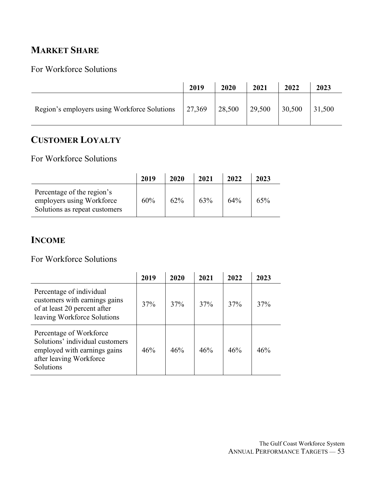### **MARKET SHARE**

### For Workforce Solutions

|                                              | 2019   | 2020   | 2021   | 2022   | 2023   |
|----------------------------------------------|--------|--------|--------|--------|--------|
| Region's employers using Workforce Solutions | 27,369 | 28,500 | 29,500 | 30,500 | 31,500 |

### **CUSTOMER LOYALTY**

For Workforce Solutions

|                                                                                          | 2019 | 2020 | 2021 | 2022 | 2023 |
|------------------------------------------------------------------------------------------|------|------|------|------|------|
| Percentage of the region's<br>employers using Workforce<br>Solutions as repeat customers | 60%  | 62%  | 63%  | 64%  | 65%  |

### **INCOME**

For Workforce Solutions

|                                                                                                                                    | 2019 | 2020 | 2021 | 2022 | 2023 |  |
|------------------------------------------------------------------------------------------------------------------------------------|------|------|------|------|------|--|
| Percentage of individual<br>customers with earnings gains<br>of at least 20 percent after<br>leaving Workforce Solutions           | 37%  | 37%  | 37%  | 37%  | 37%  |  |
| Percentage of Workforce<br>Solutions' individual customers<br>employed with earnings gains<br>after leaving Workforce<br>Solutions | 46%  | 46%  | 46%  | 46%  | 46%  |  |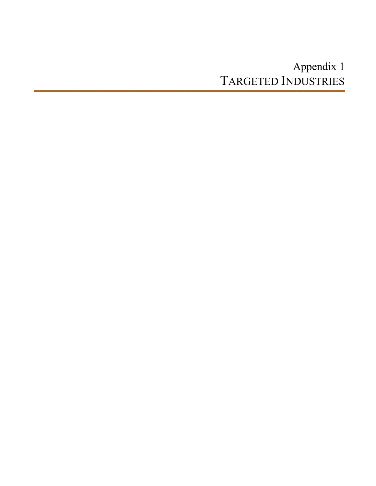# Appendix 1 TARGETED INDUSTRIES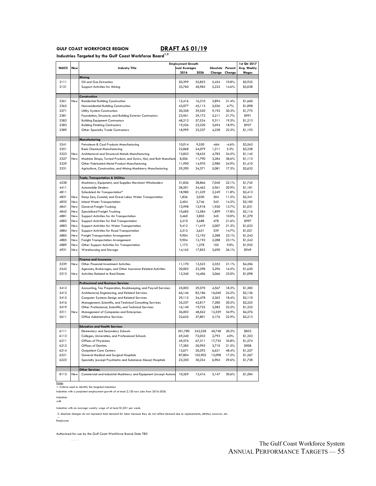#### **GULF COAST WORKFORCE REGION DRAFT AS 01/19**

**Industries Targeted by the Gulf Coast Workforce Board1,2** 

|              |            |                                                                   | <b>Employment Growth</b> |         | 1st Qtr 2017     |         |              |
|--------------|------------|-------------------------------------------------------------------|--------------------------|---------|------------------|---------|--------------|
| <b>NAICS</b> | New        | <b>Industry Title</b>                                             | nual Averages            |         | Absolute Percent |         | Avg. Weekly  |
|              |            |                                                                   | 2016                     | 2026    | Change           | Change  | <b>Wages</b> |
|              |            | Mining                                                            |                          |         |                  |         |              |
| 2111         |            | Oil and Gas Extraction                                            | 50,399                   | 55,853  | 5,454            | 10.8%   | \$5,925      |
| 2131         |            | Support Activities for Mining                                     | 35,760                   | 40,982  | 5,222            | 14.6%   | \$3,038      |
|              |            |                                                                   |                          |         |                  |         |              |
|              |            | Construction                                                      |                          |         |                  |         |              |
| 2361         | New        | <b>Residential Building Construction</b>                          | 12,416                   | 16,310  | 3,894            | 31.4%   | \$1,660      |
| 2362         |            | Nonresidential Building Construction                              | 43,077                   | 45,113  | 2,036            | 4.7%    | \$1,898      |
| 2371         |            | Utility System Construction                                       | 30,358                   | 39,550  | 9,192            | 30.3%   | \$1,775      |
| 2381         |            | Foundation, Structure, and Building Exterior Contractors          | 23,961                   | 29,172  | 5,211            | 21.7%   | \$991        |
| 2382         |            | <b>Building Equipment Contractors</b>                             | 48,213                   | 57,524  | 9,311            | 19.3%   | \$1,213      |
| 2383         |            | <b>Building Finishing Contractors</b>                             | 19,526                   | 23,220  | 3,694            | 18.9%   | \$937        |
| 2389         |            | Other Specialty Trade Contractors                                 | 18,999                   | 23,237  | 4,238            | 22.3%   | \$1,193      |
|              |            |                                                                   |                          |         |                  |         |              |
|              |            | Manufacturing                                                     |                          |         |                  |         |              |
| 3241         |            | Petroleum & Coal Products Manufacturing                           | 10,014                   | 9,550   | $-464$           | $-4.6%$ | \$3,563      |
| 3251         |            | <b>Basic Chemical Manufacturing</b>                               | 22,868                   | 24,079  | 1,211            | 5.3%    | \$3,228      |
| 3323         | <b>New</b> | Architectural and Structural Metals Manufacturing                 | 13,853                   | 18,635  | 4,782            | 34.5%   | \$1,145      |
| 3327         | New        | Machine Shops; Turned Product; and Screw, Nut, and Bolt Manufactu | 8,506                    | 11,790  | 3,284            | 38.6%   | \$1,113      |
| 3329         |            | Other Fabricated Metal Product Manufacturing                      | 11,990                   | 14,970  | 2,980            | 24.9%   | \$1,410      |
| 3331         |            | Agriculture, Construction, and Mining Machinery Manufacturing     | 29,290                   | 34,371  | 5,081            | 17.3%   | \$2,632      |
|              |            |                                                                   |                          |         |                  |         |              |
|              |            | Trade, Transportation & Utilities                                 |                          |         |                  |         |              |
| 4238         |            | Machinery, Equipment, and Supplies Merchant Wholesalers           | 31,826                   | 38,866  | 7.040            | 22.1%   | \$1,745      |
| 4411         |            | Automobile Dealers                                                | 28,501                   | 34,462  | 5,961            | 20.9%   | \$1,181      |
| 4811         |            | Scheduled Air Transportation*                                     | 18,980                   | 21,229  | 2,249            | 11.8%   | \$2,413      |
| 4831         | New        | Deep Sea, Coastal, and Great Lakes Water Transportation           | 1,826                    | 2,030   | 204              | 11.2%   | \$2,341      |
| 4832         | New        | Inland Water Transportation                                       | 2,404                    | 2,746   | 342              | 14.2%   | \$2,185      |
| 4841         | New        | General Freight Trucking                                          | 13,998                   | 15,918  | 1,920            | 13.7%   | \$1,031      |
| 4842         | <b>New</b> | Specialized Freight Trucking                                      | 10,685                   | 12,584  | 1,899            | 17.8%   | \$2,116      |
| 4881         | New        | Support Activities for Air Transportation                         | 3,460                    | 3,805   | 345              | 10.0%   | \$1,270      |
| 4882         | New        | Support Activities for Rail Transportation                        | 2,210                    | 2,688   | 478              | 21.6%   | \$997        |
| 4883         | <b>New</b> | Support Activities for Water Transportation                       | 9,412                    | 11,419  | 2,007            | 21.3%   | \$1,023      |
| 4884         | New        | Support Activities for Road Transportation                        | 2,312                    | 2,651   | 339              | 14.7%   | \$1,021      |
| 4885         | New        | Freight Transportation Arrangement                                | 9,904                    | 12,192  | 2,288            | 23.1%   | \$1,542      |
| 4885         | <b>New</b> | Freight Transportation Arrangement                                | 9,904                    | 12,192  | 2,288            | 23.1%   | \$1,542      |
| 4889         | New        | Other Support Activities for Transportation                       | 1,173                    | 1,278   | 105              | 9.0%    | \$1,955      |
| 4931         | New        | Warehousing and Storage                                           | 14,162                   | 17,852  | 3,690            | 26.1%   | \$949        |
|              |            |                                                                   |                          |         |                  |         |              |
|              |            | <b>Finance and Insurance</b>                                      |                          |         |                  |         |              |
| 5239         | New        | Other Financial Investment Activities                             | 11,170                   | 13,523  | 2,353            | 21.1%   | \$4,206      |
| 5242         |            | Agencies, Brokerages, and Other Insurance Related Activities      | 20,002                   | 23,298  | 3,296            | 16.5%   | \$1,620      |
| 5313         | New        | <b>Activities Related to Real Estate</b>                          | 13,340                   | 16,406  | 3,066            | 23.0%   | \$1,098      |
|              |            |                                                                   |                          |         |                  |         |              |
|              |            | <b>Professional and Business Services</b>                         |                          |         |                  |         |              |
| 5412         |            | Accounting, Tax Preparation, Bookkeeping, and Payroll Services    | 25,003                   | 29,570  | 4,567            | 18.3%   | \$1,385      |
| 5413         |            | Architectural, Engineering, and Related Services                  | 66,146                   | 82,186  | 16,040           | 24.2%   | \$2,136      |
| 5415         |            | Computer Systems Design and Related Services                      | 29,115                   | 34,478  | 5,363            | 18.4%   | \$2,110      |
| 5416         |            | Management, Scientific, and Technical Consulting Services         | 35,537                   | 42,817  | 7,280            | 20.5%   | \$2,255      |
| 5419         |            | Other Professional, Scientific, and Technical Services            | 16,140                   | 19,725  | 3,585            | 22.2%   | \$1,322      |
| 5511         | New        | Management of Companies and Enterprises                           | 36,003                   | 48,562  | 12,559           | 34.9%   | \$4,276      |
| 5611         |            | Office Administrative Services                                    | 22,625                   | 27,801  | 5,176            | 22.9%   | \$2,213      |
|              |            |                                                                   |                          |         |                  |         |              |
|              |            | <b>Education and Health Services</b>                              |                          |         |                  |         |              |
| 6111         |            | Elementary and Secondary Schools                                  | 201,780                  | 242,528 | 40,748           | 20.2%   | \$833        |
| 6113         |            |                                                                   |                          |         | 2,793            | 4.0%    |              |
|              |            | Colleges, Universities, and Professional Schools                  | 69,240                   | 72,033  |                  |         | \$1,353      |
| 6211         |            | Offices of Physicians                                             | 49,576                   | 67,311  | 17,735           | 35.8%   | \$1,574      |
| 6212         |            | Offices of Dentists                                               | 17,285                   | 20,995  | 3,710            | 21.5%   | \$908        |
| 6214         |            | <b>Outpatient Care Centers</b>                                    | 13,671                   | 20,292  | 6,621            | 48.4%   | \$1,257      |
| 6221         |            | General Medical and Surgical Hospitals                            | 87,804                   | 102,902 | 15,098           | 17.2%   | \$1,267      |
| 6223         |            | Specialty (except Psychiatric and Substance Abuse) Hospitals      | 23,350                   | 30,254  | 6,904            | 29.6%   | \$1,738      |
|              |            |                                                                   |                          |         |                  |         |              |
|              |            | <b>Other Services</b>                                             |                          |         |                  |         |              |
| 8113         | New        | Commercial and Industrial Machinery and Equipment (except Automo  | 10,269                   | 13,416  | 3,147            | 30.6%   | \$1,584      |
|              |            |                                                                   |                          |         |                  |         |              |

Notes<br>1. Criteria used to identify the targeted industries:

Industries with a projected employment growth of at least 2,120 new jobs from 2016-2026

Industries with

Industries with an average weekly wage of at least \$1,031 per week.

2. Absolute changes do not represent total demand for labor because they do not reflect demand due to replacements, attrition, turnover, etc.

-.<br>Employme

Authorized for use by the Gulf Coast Workforce Board: Date TBD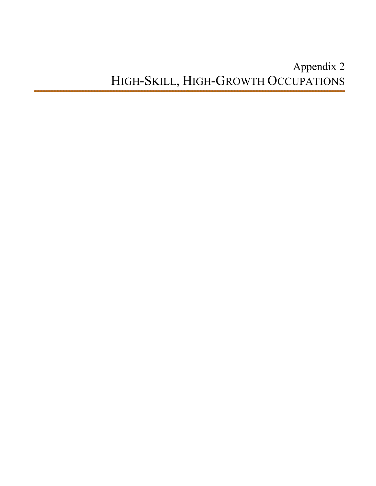# Appendix 2 HIGH-SKILL, HIGH-GROWTH OCCUPATIONS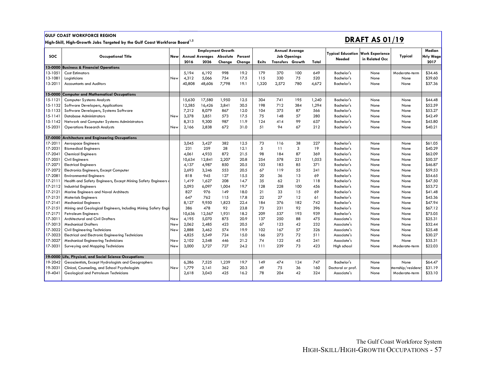#### **GULF COAST WORKFORCE REGION**

**High-Skill, High-Growth Jobs Targeted by the Gulf Coast Workforce Board1,2** 

### **DRAFT AS 01/19**

|            |                                                                |            | <b>Employment Growth</b> |        | Annual Average           |         |              |                         |                     |       | Median                             |                                          |                    |                  |
|------------|----------------------------------------------------------------|------------|--------------------------|--------|--------------------------|---------|--------------|-------------------------|---------------------|-------|------------------------------------|------------------------------------------|--------------------|------------------|
| <b>SOC</b> | <b>Occupational Title</b>                                      | <b>New</b> |                          |        | Annual Averages Absolute | Percent |              |                         | <b>Job Openings</b> |       | <b>Typical Education</b><br>Needed | <b>Work Experience</b><br>in Related Occ | Typical            | <b>Hrly Wage</b> |
|            |                                                                |            | 2016                     | 2026   | Change                   | Change  | <b>Exits</b> | <b>Transfers Growth</b> |                     | Total |                                    |                                          |                    | 2017             |
| 13-0000    | <b>Business &amp; Financial Operations</b>                     |            |                          |        |                          |         |              |                         |                     |       |                                    |                                          |                    |                  |
| 13-1051    | <b>Cost Estimators</b>                                         |            | 5,194                    | 6,192  | 998                      | 19.2    | 179          | 370                     | 100                 | 649   | Bachelor's                         | None                                     | Moderate-term      | \$34.46          |
| 13-1081    | Logisticians                                                   | New        | 4,312                    | 5,066  | 754                      | 17.5    | 115          | 330                     | 75                  | 520   | <b>Bachelor's</b>                  | None                                     | None               | \$39.60          |
| 13-2011    | <b>Accountants and Auditors</b>                                |            | 40,808                   | 48,606 | 7,798                    | 19.1    | 1,320        | 2,572                   | 780                 | 4,672 | Bachelor's                         | None                                     | None               | \$37.36          |
|            |                                                                |            |                          |        |                          |         |              |                         |                     |       |                                    |                                          |                    |                  |
|            | 15-0000 Computer and Mathematical Occupations                  |            |                          |        |                          |         |              |                         |                     |       |                                    |                                          |                    |                  |
| 15-1121    | <b>Computer Systems Analysts</b>                               |            | 15,630                   | 17,580 | 1,950                    | 12.5    | 304          | 741                     | 195                 | 1,240 | Bachelor's                         | None                                     | None               | \$44.48          |
| 15-1132    | Software Developers, Applications                              |            | 12,585                   | 16,426 | 3,841                    | 30.5    | 198          | 712                     | 384                 | 1,294 | Bachelor's                         | None                                     | None               | \$52.59          |
| 15-1133    | Software Developers, Systems Software                          |            | 7,212                    | 8,079  | 867                      | 12.0    | 104          | 375                     | 87                  | 566   | <b>Bachelor's</b>                  | None                                     | None               | \$53.27          |
| 15-1141    | <b>Database Administrators</b>                                 | New        | 3,278                    | 3,851  | 573                      | 17.5    | 75           | 148                     | 57                  | 280   | <b>Bachelor's</b>                  | None                                     | None               | \$42.49          |
| 15-1142    | Network and Computer Systems Administrators                    |            | 8,313                    | 9,300  | 987                      | 11.9    | 124          | 414                     | 99                  | 637   | Bachelor's                         | None                                     | None               | \$45.80          |
| 15-2031    | <b>Operations Research Analysts</b>                            | New        | 2,166                    | 2,838  | 672                      | 31.0    | 51           | 94                      | 67                  | 212   | Bachelor's                         | None                                     | None               | \$40.21          |
|            |                                                                |            |                          |        |                          |         |              |                         |                     |       |                                    |                                          |                    |                  |
| 17-0000    | <b>Architecture and Engineering Occupations</b>                |            |                          |        |                          |         |              |                         |                     |       |                                    |                                          |                    |                  |
| 17-2011    | Aerospace Engineers                                            |            | 3.045                    | 3,427  | 382                      | 12.5    | 73           | 116                     | 38                  | 227   | Bachelor's                         | None                                     | None               | \$61.05          |
| 17-2031    | <b>Biomedical Engineers</b>                                    |            | 231                      | 259    | 28                       | 12.1    | 5            | 11                      | 3                   | 19    | Bachelor's                         | None                                     | None               | \$40.29          |
| 17-2041    | <b>Chemical Engineers</b>                                      |            | 4,061                    | 4,933  | 872                      | 21.5    | 98           | 184                     | 87                  | 369   | Bachelor's                         | None                                     | None               | \$62.09          |
| 17-2051    | Civil Engineers                                                |            | 10,634                   | 12,841 | 2,207                    | 20.8    | 254          | 578                     | 221                 | 1,053 | <b>Bachelor's</b>                  | None                                     | None               | \$50.37          |
| 17-2071    | <b>Electrical Engineers</b>                                    |            | 4,137                    | 4,987  | 850                      | 20.5    | 103          | 183                     | 85                  | 371   | Bachelor's                         | None                                     | None               | \$46.87          |
| 17-2072    | Electronics Engineers, Except Computer                         |            | 2,693                    | 3,246  | 553                      | 20.5    | 67           | 119                     | 55                  | 241   | <b>Bachelor's</b>                  | None                                     | None               | \$59.53          |
| 17-2081    | <b>Environmental Engineers</b>                                 |            | 818                      | 945    | 127                      | 15.5    | 20           | 36                      | 13                  | 69    | Bachelor's                         | None                                     | None               | \$54.65          |
| 17-2111    | Health and Safety Engineers, Except Mining Safety Engineers of |            | 1,419                    | 1,627  | 208                      | 14.7    | 35           | 62                      | 21                  | 118   | Bachelor's                         | None                                     | None               | \$47.50          |
| 17-2112    | <b>Industrial Engineers</b>                                    |            | 5,093                    | 6,097  | 1,004                    | 19.7    | 128          | 228                     | 100                 | 456   | <b>Bachelor's</b>                  | None                                     | None               | \$53.72          |
| 17-2121    | Marine Engineers and Naval Architects                          |            | 827                      | 976    | 149                      | 18.0    | 21           | 33                      | 15                  | 69    | Bachelor's                         | None                                     | None               | \$41.48          |
| 17-2131    | <b>Materials Engineers</b>                                     |            | 647                      | 762    | 115                      | 17.8    | 22           | 27                      | 12                  | 61    | Bachelor's                         | None                                     | None               | \$45.36          |
| 17-2141    | <b>Mechanical Engineers</b>                                    |            | 8,127                    | 9,950  | 1,823                    | 22.4    | 184          | 376                     | 182                 | 742   | Bachelor's                         | None                                     | None               | \$47.94          |
| 17-2151    | Mining and Geological Engineers, Including Mining Safety Engir |            | 386                      | 478    | 92                       | 23.8    | 73           | 231                     | 92                  | 396   | Bachelor's                         | None                                     | None               | \$67.12          |
| 17-2171    | <b>Petroleum Engineers</b>                                     |            | 10,636                   | 12,567 | 1,931                    | 18.2    | 209          | 537                     | 193                 | 939   | Bachelor's                         | None                                     | None               | \$75.05          |
| 17-3011    | <b>Architectural and Civil Drafters</b>                        | New        | 4,195                    | 5,070  | 875                      | 20.9    | 137          | 250                     | 88                  | 475   | Associate's                        | None                                     | None               | \$25.31          |
| 17-3013    | <b>Mechanical Drafters</b>                                     | New        | 2,062                    | 2,485  | 423                      | 20.5    | 67           | 123                     | 42                  | 232   | Associate's                        | None                                     | None               | \$32.44          |
| 17-3022    | Civil Engineering Technicians                                  | New        | 2,888                    | 3,462  | 574                      | 19.9    | 102          | 167                     | 57                  | 326   | Associate's                        | None                                     | None               | \$25.48          |
| 17-3023    | Electrical and Electronic Engineering Technicians              |            | 4,825                    | 5,549  | 724                      | 15.0    | 166          | 273                     | 72                  | 511   | Associate's                        | None                                     | None               | \$30.27          |
| 17-3027    | <b>Mechanical Engineering Technicians</b>                      | New        | 2,102                    | 2,548  | 446                      | 21.2    | 74           | 122                     | 45                  | 241   | Associate's                        | None                                     | None               | \$35.31          |
| 17-3031    | Surveying and Mapping Technicians                              | New        | 3,000                    | 3,727  | 727                      | 24.2    | 111          | 239                     | 73                  | 423   | High school                        | None                                     | Moderate-term      | \$22.03          |
|            |                                                                |            |                          |        |                          |         |              |                         |                     |       |                                    |                                          |                    |                  |
|            | 19-0000 Life, Physical, and Social Science Occupations         |            |                          |        |                          |         |              |                         |                     |       |                                    |                                          |                    |                  |
| 19-2042    | Geoscientists, Except Hydrologists and Geographers             |            | 6,286                    | 7,525  | 1,239                    | 19.7    | 149          | 474                     | 124                 | 747   | Bachelor's                         | None                                     | None               | \$64.47          |
| 19-3031    | Clinical, Counseling, and School Psychologists                 | New        | 1,779                    | 2,141  | 362                      | 20.3    | 49           | 75                      | 36                  | 160   | Doctoral or prof.                  | None                                     | hternship/residenc | \$31.19          |
| 19-4041    | Geological and Petroleum Technicians                           |            | 2.618                    | 3,043  | 425                      | 16.2    | 78           | 204                     | 42                  | 324   | Associate's                        | None                                     | Moderate-term      | \$33.10          |
|            |                                                                |            |                          |        |                          |         |              |                         |                     |       |                                    |                                          |                    |                  |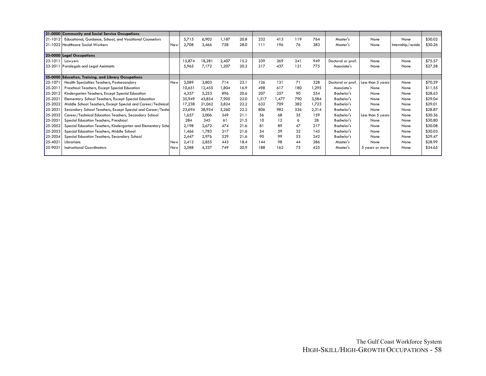|         | 21-0000 Community and Social Service Occupations             |     |        |        |       |      |       |       |     |       |                   |                   |                   |         |
|---------|--------------------------------------------------------------|-----|--------|--------|-------|------|-------|-------|-----|-------|-------------------|-------------------|-------------------|---------|
| 21-1012 | Educational, Guidance, School, and Vocational Counselors     |     | 5,715  | 6,902  | 1,187 | 20.8 | 232   | 413   | 119 | 764   | Master's          | None              | None              | \$30.02 |
|         | 21-1022 Healthcare Social Workers                            | New | 2,708  | 3,466  | 758   | 28.0 | 111   | 196   | 76  | 383   | Master's          | None              | Internship/reside | \$30.26 |
|         |                                                              |     |        |        |       |      |       |       |     |       |                   |                   |                   |         |
|         | 23-0000 Legal Occupations                                    |     |        |        |       |      |       |       |     |       |                   |                   |                   |         |
| 23-1011 | Lawyers                                                      |     | 15,874 | 18,281 | 2,407 | 15.2 | 339   | 369   | 241 | 949   | Doctoral or prof. | None              | None              | \$75.57 |
| 23-2011 | Paralegals and Legal Assistants                              |     | 5,965  | 7,172  | 1,207 | 20.2 | 217   | 437   | 121 | 775   | Associate's       | None              | None              | \$27.58 |
|         |                                                              |     |        |        |       |      |       |       |     |       |                   |                   |                   |         |
|         | 25-0000 Education, Training, and Library Occupations         |     |        |        |       |      |       |       |     |       |                   |                   |                   |         |
| 25-1071 | Health Specialties Teachers, Postsecondary                   | New | 3,089  | 3,803  | 714   | 23.1 | 126   | 131   | 71  | 328   | Doctoral or prof. | Less than 5 years | None              | \$70.59 |
| 25-201  | Preschool Teachers, Except Special Education                 |     | 10,651 | 12,455 | 1,804 | 16.9 | 498   | 617   | 180 | 1,295 | Associate's       | None              | None              | \$11.55 |
| 25-2012 | Kindergarten Teachers, Except Special Education              |     | 4,357  | 5,253  | 896   | 20.6 | 207   | 257   | 90  | 554   | Bachelor's        | None              | None              | \$28.63 |
| 25-2021 | Elementary School Teachers, Except Special Education         |     | 35,949 | 43,854 | 7,905 | 22.0 | 1,317 | 1,477 | 790 | 3,584 | Bachelor's        | None              | None              | \$29.04 |
| 25-2022 | Middle School Teachers, Except Special and Career/Technical  |     | 17,238 | 21,062 | 3,824 | 22.2 | 632   | 709   | 382 | 1,723 | Bachelor's        | None              | None              | \$29.01 |
| 25-2031 | Secondary School Teachers, Except Special and Career/Techn   |     | 23,694 | 28,954 | 5,260 | 22.2 | 806   | 982   | 526 | 2,314 | Bachelor's        | None              | None              | \$28.87 |
| 25-2032 | Career/Technical Education Teachers, Secondary School        |     | .657   | 2,006  | 349   | 21.1 | 56    | 68    | 35  | 159   | Bachelor's        | Less than 5 years | None              | \$30.36 |
| 25-2051 | Special Education Teachers, Preschool                        |     | 284    | 345    | 61    | 21.5 | 10    | 12    | 6   | 28    | Bachelor's        | None              | None              | \$30.80 |
| 25-2052 | Special Education Teachers, Kindergarten and Elementary Scho |     | 2,198  | 2,672  | 474   | 21.6 | 81    | 89    | 47  | 217   | Bachelor's        | None              | None              | \$30.08 |
| 25-2053 | Special Education Teachers, Middle School                    |     | 466,   | 1,783  | 317   | 21.6 | 54    | 59    | 32  | 145   | Bachelor's        | None              | None              | \$30.03 |
| 25-2054 | Special Education Teachers, Secondary School                 |     | 2,447  | 2,976  | 529   | 21.6 | 90    | 99    | 53  | 242   | Bachelor's        | None              | None              | \$29.47 |
| 25-4021 | Librarians                                                   | New | 2,412  | 2,855  | 443   | 18.4 | 144   | 98    | 44  | 286   | Master's          | None              | None              | \$28.99 |
| 25-9031 | <b>Instructional Coordinators</b>                            | New | 3,588  | 4,337  | 749   | 20.9 | 188   | 162   | 75  | 425   | Master's          | 5 years or more   | None              | \$34.65 |
|         |                                                              |     |        |        |       |      |       |       |     |       |                   |                   |                   |         |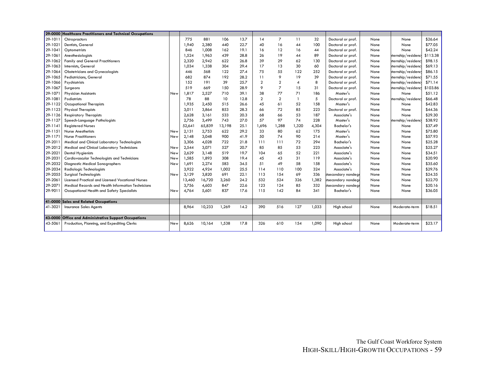|            | 29-0000 Healthcare Practitioners and Technical Occupations |            |        |        |        |      |                |                |                |       |                     |      |                     |          |
|------------|------------------------------------------------------------|------------|--------|--------|--------|------|----------------|----------------|----------------|-------|---------------------|------|---------------------|----------|
| 29-1011    | Chiropractors                                              |            | 775    | 881    | 106    | 13.7 | 14             | $\overline{7}$ | 11             | 32    | Doctoral or prof.   | None | None                | \$26.64  |
| 29-1021    | Dentists, General                                          |            | 1,940  | 2,380  | 440    | 22.7 | 40             | 16             | 44             | 100   | Doctoral or prof.   | None | None                | \$77.05  |
| 29-1041    | Optometrists                                               |            | 846    | 1,008  | 162    | 19.1 | 16             | 12             | 16             | 44    | Doctoral or prof.   | None | None                | \$42.24  |
| 29-1061    | Anesthesiologists                                          |            | 1,524  | 1,963  | 439    | 28.8 | 26             | 19             | 44             | 89    | Doctoral or prof.   | None | ternship/residency  | \$113.38 |
| 29-1062    | <b>Family and General Practitioners</b>                    |            | 2,320  | 2,942  | 622    | 26.8 | 39             | 29             | 62             | 130   | Doctoral or prof.   | None | hternship/residency | \$98.15  |
| 29-1063    | Internists, General                                        |            | 1,034  | 1,338  | 304    | 29.4 | 17             | 13             | 30             | 60    | Doctoral or prof.   | None | hternship/residenc  | \$69.13  |
| 29-1064    | <b>Obstetricians and Gynecologists</b>                     |            | 446    | 568    | 122    | 27.4 | 75             | 55             | 122            | 252   | Doctoral or prof.   | None | hternship/residenc  | \$86.15  |
| 29-1065    | Pediatricians, General                                     |            | 682    | 874    | 192    | 28.2 | 11             | 9              | 19             | 39    | Doctoral or prof.   | None | hternship/residency | \$71.55  |
| 29-1066    | Psychiatrists                                              |            | 152    | 191    | 39     | 25.7 | $\overline{2}$ | $\overline{2}$ | $\overline{4}$ | 8     | Doctoral or prof.   | None | hternship/residenc  | \$71.14  |
| 29-1067    | Surgeons                                                   |            | 519    | 669    | 150    | 28.9 | $\circ$        | $\overline{7}$ | 15             | 31    | Doctoral or prof.   | None | hternship/residenc  | \$103.86 |
| 29-107     | <b>Physician Assistants</b>                                | <b>New</b> | 1,817  | 2,527  | 710    | 39.1 | 38             | 77             | 71             | 186   | Master's            | None | None                | \$51.12  |
| 29-1081    | Podiatrists                                                |            | 78     | 88     | 10     | 12.8 | $\overline{2}$ | $\overline{2}$ | $\mathbf{1}$   | 5     | Doctoral or prof.   | None | hternship/residency | \$66.48  |
| 29-1122    | Occupational Therapists                                    |            | 1,935  | 2,450  | 515    | 26.6 | 45             | 61             | 52             | 158   | Master's            | None | None                | \$42.83  |
| 29-1123    | <b>Physical Therapists</b>                                 |            | 3,011  | 3,864  | 853    | 28.3 | 66             | 72             | 85             | 223   | Doctoral or prof.   | None | None                | \$44.36  |
| 29-1126    | <b>Respiratory Therapists</b>                              |            | 2,628  | 3,161  | 533    | 20.3 | 68             | 66             | 53             | 187   | Associate's         | None | None                | \$29.30  |
| 29-1127    | Speech-Language Pathologists                               |            | 2,756  | 3,499  | 743    | 27.0 | 57             | 97             | 74             | 228   | Master's            | None | hternship/residency | \$38.92  |
| $29 - 114$ | <b>Reaistered Nurses</b>                                   |            | 52,641 | 65,839 | 13,198 | 25.1 | 1.696          | 1,288          | 1,320          | 4,304 | Bachelor's          | None | None                | \$37.49  |
| 29-1151    | <b>Nurse Anesthetists</b>                                  | New        | 2,131  | 2,753  | 622    | 29.2 | 33             | 80             | 62             | 175   | Master's            | None | None                | \$75.80  |
| 29-1171    | <b>Nurse Practitioners</b>                                 | <b>New</b> | 2,148  | 3,048  | 900    | 41.9 | 50             | 74             | 90             | 214   | Master's            | None | None                | \$57.93  |
| 29-2011    | Medical and Clinical Laboratory Technologists              |            | 3.306  | 4,028  | 722    | 21.8 | 111            | 111            | 72             | 294   | Bachelor's          | None | None                | \$25.28  |
| 29-2012    | Medical and Clinical Laboratory Technicians                | <b>New</b> | 2,544  | 3,071  | 527    | 20.7 | 85             | 85             | 53             | 223   | Associate's         | None | None                | \$25.27  |
| 29-2021    | Dental Hygienists                                          | New        | 2,629  | 3,148  | 519    | 19.7 | 104            | 65             | 52             | 221   | Associate's         | None | None                | \$34.51  |
| 29-2031    | Cardiovascular Technologists and Technicians               | New        | 1,585  | 1,893  | 308    | 19.4 | 45             | 43             | 31             | 119   | Associate's         | None | None                | \$20.90  |
| 29-2032    | Diagnostic Medical Sonographers                            | New        | 1,691  | 2,274  | 583    | 34.5 | 51             | 49             | 58             | 158   | Associate's         | None | None                | \$35.60  |
| 29-2034    | <b>Radiologic Technologists</b>                            |            | 3,922  | 4,924  | 1,002  | 25.5 | 114            | 110            | 100            | 324   | Associate's         | None | None                | \$29.76  |
| 29-2055    | <b>Surgical Technologists</b>                              | <b>New</b> | 3,129  | 3,820  | 691    | 22.1 | 113            | 154            | 69             | 336   | stsecondary nondegi | None | None                | \$24.35  |
| 29-2061    | Licensed Practical and Licensed Vocational Nurses          |            | 13,460 | 16,720 | 3,260  | 24.2 | 532            | 524            | 326            | 1,382 | stsecondary nondegi | None | None                | \$22.70  |
| 29-207     | Medical Records and Health Information Technicians         |            | 3,756  | 4,603  | 847    | 22.6 | 123            | 124            | 85             | 332   | stsecondary nondegi | None | None                | \$20.16  |
| 29-9011    | Occupational Health and Safety Specialists                 | New        | 4,764  | 5,601  | 837    | 17.6 | 115            | 142            | 84             | 341   | Bachelor's          | None | None                | \$36.05  |
|            | 41-0000 Sales and Related Occupations                      |            |        |        |        |      |                |                |                |       |                     |      |                     |          |
| 41-3021    | <b>Insurance Sales Agents</b>                              |            | 8,964  | 10,233 | 1,269  | 14.2 | 390            | 516            | 127            | 1,033 | High school         | None | Moderate-term       | \$18.51  |
|            | 43-0000 Office and Administrative Support Occupations      |            |        |        |        |      |                |                |                |       |                     |      |                     |          |
| 43-5061    | Production, Planning, and Expediting Clerks                | New        | 8,626  | 10,164 | 1,538  | 17.8 | 326            | 610            | 154            | 1,090 | High school         | None | Moderate-term       | \$23.17  |
|            |                                                            |            |        |        |        |      |                |                |                |       |                     |      |                     |          |